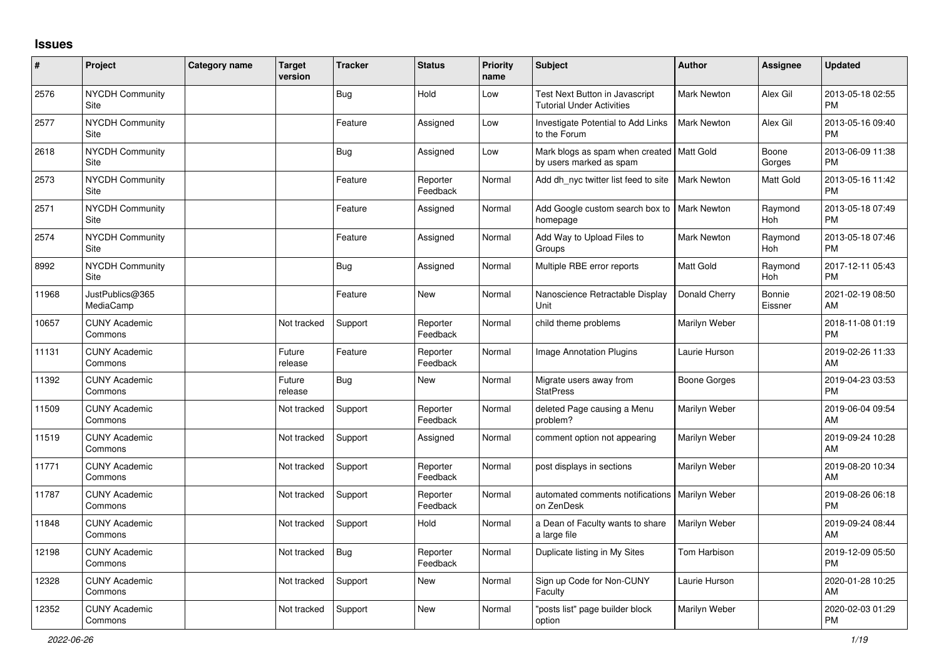## **Issues**

| #     | Project                         | Category name | <b>Target</b><br>version | <b>Tracker</b> | <b>Status</b>        | Priority<br>name | <b>Subject</b>                                                         | <b>Author</b>      | <b>Assignee</b>       | <b>Updated</b>                |
|-------|---------------------------------|---------------|--------------------------|----------------|----------------------|------------------|------------------------------------------------------------------------|--------------------|-----------------------|-------------------------------|
| 2576  | NYCDH Community<br>Site         |               |                          | <b>Bug</b>     | Hold                 | Low              | Test Next Button in Javascript<br><b>Tutorial Under Activities</b>     | Mark Newton        | Alex Gil              | 2013-05-18 02:55<br><b>PM</b> |
| 2577  | <b>NYCDH Community</b><br>Site  |               |                          | Feature        | Assigned             | Low              | <b>Investigate Potential to Add Links</b><br>to the Forum              | <b>Mark Newton</b> | Alex Gil              | 2013-05-16 09:40<br><b>PM</b> |
| 2618  | NYCDH Community<br>Site         |               |                          | <b>Bug</b>     | Assigned             | Low              | Mark blogs as spam when created   Matt Gold<br>by users marked as spam |                    | Boone<br>Gorges       | 2013-06-09 11:38<br><b>PM</b> |
| 2573  | <b>NYCDH Community</b><br>Site  |               |                          | Feature        | Reporter<br>Feedback | Normal           | Add dh_nyc twitter list feed to site                                   | <b>Mark Newton</b> | Matt Gold             | 2013-05-16 11:42<br><b>PM</b> |
| 2571  | NYCDH Community<br><b>Site</b>  |               |                          | Feature        | Assigned             | Normal           | Add Google custom search box to<br>homepage                            | <b>Mark Newton</b> | Raymond<br><b>Hoh</b> | 2013-05-18 07:49<br><b>PM</b> |
| 2574  | <b>NYCDH Community</b><br>Site  |               |                          | Feature        | Assigned             | Normal           | Add Way to Upload Files to<br>Groups                                   | <b>Mark Newton</b> | Raymond<br><b>Hoh</b> | 2013-05-18 07:46<br><b>PM</b> |
| 8992  | NYCDH Community<br>Site         |               |                          | <b>Bug</b>     | Assigned             | Normal           | Multiple RBE error reports                                             | Matt Gold          | Raymond<br>Hoh        | 2017-12-11 05:43<br><b>PM</b> |
| 11968 | JustPublics@365<br>MediaCamp    |               |                          | Feature        | <b>New</b>           | Normal           | Nanoscience Retractable Display<br>Unit                                | Donald Cherry      | Bonnie<br>Eissner     | 2021-02-19 08:50<br>AM        |
| 10657 | <b>CUNY Academic</b><br>Commons |               | Not tracked              | Support        | Reporter<br>Feedback | Normal           | child theme problems                                                   | Marilyn Weber      |                       | 2018-11-08 01:19<br><b>PM</b> |
| 11131 | <b>CUNY Academic</b><br>Commons |               | Future<br>release        | Feature        | Reporter<br>Feedback | Normal           | Image Annotation Plugins                                               | Laurie Hurson      |                       | 2019-02-26 11:33<br>AM        |
| 11392 | <b>CUNY Academic</b><br>Commons |               | Future<br>release        | <b>Bug</b>     | New                  | Normal           | Migrate users away from<br><b>StatPress</b>                            | Boone Gorges       |                       | 2019-04-23 03:53<br><b>PM</b> |
| 11509 | <b>CUNY Academic</b><br>Commons |               | Not tracked              | Support        | Reporter<br>Feedback | Normal           | deleted Page causing a Menu<br>problem?                                | Marilyn Weber      |                       | 2019-06-04 09:54<br>AM        |
| 11519 | <b>CUNY Academic</b><br>Commons |               | Not tracked              | Support        | Assigned             | Normal           | comment option not appearing                                           | Marilyn Weber      |                       | 2019-09-24 10:28<br>AM        |
| 11771 | <b>CUNY Academic</b><br>Commons |               | Not tracked              | Support        | Reporter<br>Feedback | Normal           | post displays in sections                                              | Marilyn Weber      |                       | 2019-08-20 10:34<br>AM        |
| 11787 | <b>CUNY Academic</b><br>Commons |               | Not tracked              | Support        | Reporter<br>Feedback | Normal           | automated comments notifications<br>on ZenDesk                         | Marilyn Weber      |                       | 2019-08-26 06:18<br><b>PM</b> |
| 11848 | <b>CUNY Academic</b><br>Commons |               | Not tracked              | Support        | Hold                 | Normal           | a Dean of Faculty wants to share<br>a large file                       | Marilyn Weber      |                       | 2019-09-24 08:44<br>AM        |
| 12198 | <b>CUNY Academic</b><br>Commons |               | Not tracked              | Bug            | Reporter<br>Feedback | Normal           | Duplicate listing in My Sites                                          | Tom Harbison       |                       | 2019-12-09 05:50<br><b>PM</b> |
| 12328 | <b>CUNY Academic</b><br>Commons |               | Not tracked              | Support        | <b>New</b>           | Normal           | Sign up Code for Non-CUNY<br>Faculty                                   | Laurie Hurson      |                       | 2020-01-28 10:25<br>AM        |
| 12352 | <b>CUNY Academic</b><br>Commons |               | Not tracked              | Support        | <b>New</b>           | Normal           | posts list" page builder block<br>option                               | Marilyn Weber      |                       | 2020-02-03 01:29<br><b>PM</b> |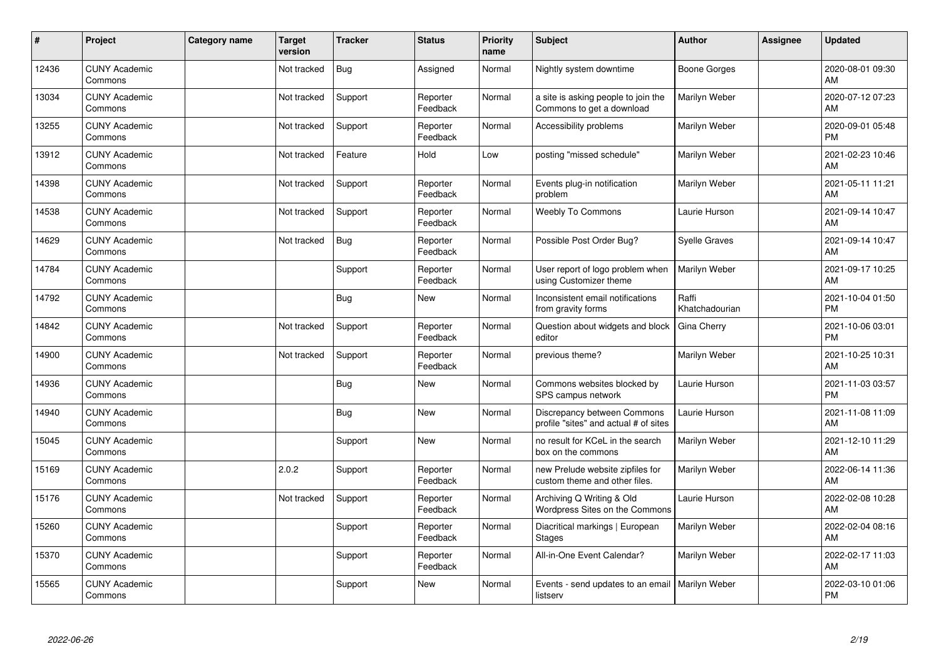| #     | Project                         | Category name | <b>Target</b><br>version | <b>Tracker</b> | <b>Status</b>        | <b>Priority</b><br>name | <b>Subject</b>                                                       | Author                  | <b>Assignee</b> | <b>Updated</b>                |
|-------|---------------------------------|---------------|--------------------------|----------------|----------------------|-------------------------|----------------------------------------------------------------------|-------------------------|-----------------|-------------------------------|
| 12436 | <b>CUNY Academic</b><br>Commons |               | Not tracked              | <b>Bug</b>     | Assigned             | Normal                  | Nightly system downtime                                              | <b>Boone Gorges</b>     |                 | 2020-08-01 09:30<br>AM        |
| 13034 | <b>CUNY Academic</b><br>Commons |               | Not tracked              | Support        | Reporter<br>Feedback | Normal                  | a site is asking people to join the<br>Commons to get a download     | Marilyn Weber           |                 | 2020-07-12 07:23<br>AM        |
| 13255 | <b>CUNY Academic</b><br>Commons |               | Not tracked              | Support        | Reporter<br>Feedback | Normal                  | Accessibility problems                                               | Marilyn Weber           |                 | 2020-09-01 05:48<br><b>PM</b> |
| 13912 | <b>CUNY Academic</b><br>Commons |               | Not tracked              | Feature        | Hold                 | Low                     | posting "missed schedule"                                            | Marilyn Weber           |                 | 2021-02-23 10:46<br>AM        |
| 14398 | <b>CUNY Academic</b><br>Commons |               | Not tracked              | Support        | Reporter<br>Feedback | Normal                  | Events plug-in notification<br>problem                               | Marilyn Weber           |                 | 2021-05-11 11:21<br>AM        |
| 14538 | <b>CUNY Academic</b><br>Commons |               | Not tracked              | Support        | Reporter<br>Feedback | Normal                  | Weebly To Commons                                                    | Laurie Hurson           |                 | 2021-09-14 10:47<br>AM        |
| 14629 | <b>CUNY Academic</b><br>Commons |               | Not tracked              | <b>Bug</b>     | Reporter<br>Feedback | Normal                  | Possible Post Order Bug?                                             | Syelle Graves           |                 | 2021-09-14 10:47<br>AM        |
| 14784 | <b>CUNY Academic</b><br>Commons |               |                          | Support        | Reporter<br>Feedback | Normal                  | User report of logo problem when<br>using Customizer theme           | Marilyn Weber           |                 | 2021-09-17 10:25<br>AM        |
| 14792 | <b>CUNY Academic</b><br>Commons |               |                          | <b>Bug</b>     | <b>New</b>           | Normal                  | Inconsistent email notifications<br>from gravity forms               | Raffi<br>Khatchadourian |                 | 2021-10-04 01:50<br><b>PM</b> |
| 14842 | <b>CUNY Academic</b><br>Commons |               | Not tracked              | Support        | Reporter<br>Feedback | Normal                  | Question about widgets and block<br>editor                           | Gina Cherry             |                 | 2021-10-06 03:01<br><b>PM</b> |
| 14900 | <b>CUNY Academic</b><br>Commons |               | Not tracked              | Support        | Reporter<br>Feedback | Normal                  | previous theme?                                                      | Marilyn Weber           |                 | 2021-10-25 10:31<br>AM        |
| 14936 | <b>CUNY Academic</b><br>Commons |               |                          | <b>Bug</b>     | <b>New</b>           | Normal                  | Commons websites blocked by<br>SPS campus network                    | Laurie Hurson           |                 | 2021-11-03 03:57<br><b>PM</b> |
| 14940 | <b>CUNY Academic</b><br>Commons |               |                          | Bug            | <b>New</b>           | Normal                  | Discrepancy between Commons<br>profile "sites" and actual # of sites | Laurie Hurson           |                 | 2021-11-08 11:09<br>AM        |
| 15045 | <b>CUNY Academic</b><br>Commons |               |                          | Support        | <b>New</b>           | Normal                  | no result for KCeL in the search<br>box on the commons               | Marilyn Weber           |                 | 2021-12-10 11:29<br>AM        |
| 15169 | <b>CUNY Academic</b><br>Commons |               | 2.0.2                    | Support        | Reporter<br>Feedback | Normal                  | new Prelude website zipfiles for<br>custom theme and other files.    | Marilyn Weber           |                 | 2022-06-14 11:36<br>AM        |
| 15176 | <b>CUNY Academic</b><br>Commons |               | Not tracked              | Support        | Reporter<br>Feedback | Normal                  | Archiving Q Writing & Old<br><b>Wordpress Sites on the Commons</b>   | Laurie Hurson           |                 | 2022-02-08 10:28<br>AM        |
| 15260 | <b>CUNY Academic</b><br>Commons |               |                          | Support        | Reporter<br>Feedback | Normal                  | Diacritical markings   European<br><b>Stages</b>                     | Marilyn Weber           |                 | 2022-02-04 08:16<br>AM        |
| 15370 | <b>CUNY Academic</b><br>Commons |               |                          | Support        | Reporter<br>Feedback | Normal                  | All-in-One Event Calendar?                                           | Marilyn Weber           |                 | 2022-02-17 11:03<br>AM        |
| 15565 | <b>CUNY Academic</b><br>Commons |               |                          | Support        | New                  | Normal                  | Events - send updates to an email<br>listserv                        | Marilyn Weber           |                 | 2022-03-10 01:06<br>PM        |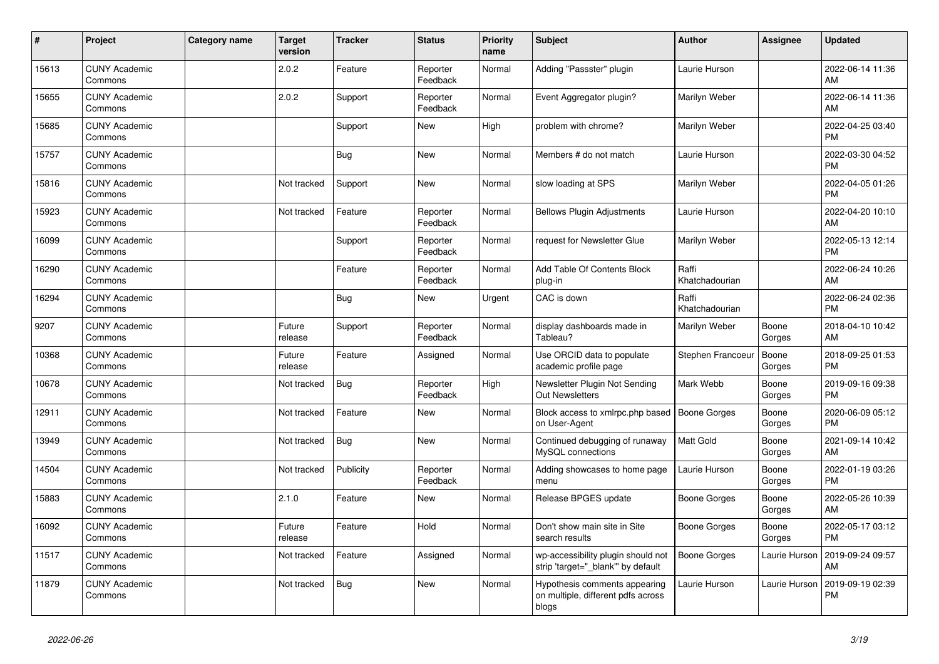| ∦     | Project                         | <b>Category name</b> | <b>Target</b><br>version | <b>Tracker</b> | <b>Status</b>        | <b>Priority</b><br>name | <b>Subject</b>                                                               | <b>Author</b>           | <b>Assignee</b> | <b>Updated</b>                |
|-------|---------------------------------|----------------------|--------------------------|----------------|----------------------|-------------------------|------------------------------------------------------------------------------|-------------------------|-----------------|-------------------------------|
| 15613 | <b>CUNY Academic</b><br>Commons |                      | 2.0.2                    | Feature        | Reporter<br>Feedback | Normal                  | Adding "Passster" plugin                                                     | Laurie Hurson           |                 | 2022-06-14 11:36<br>AM        |
| 15655 | <b>CUNY Academic</b><br>Commons |                      | 2.0.2                    | Support        | Reporter<br>Feedback | Normal                  | Event Aggregator plugin?                                                     | Marilyn Weber           |                 | 2022-06-14 11:36<br>AM        |
| 15685 | <b>CUNY Academic</b><br>Commons |                      |                          | Support        | New                  | High                    | problem with chrome?                                                         | Marilyn Weber           |                 | 2022-04-25 03:40<br><b>PM</b> |
| 15757 | <b>CUNY Academic</b><br>Commons |                      |                          | Bug            | New                  | Normal                  | Members # do not match                                                       | Laurie Hurson           |                 | 2022-03-30 04:52<br><b>PM</b> |
| 15816 | <b>CUNY Academic</b><br>Commons |                      | Not tracked              | Support        | New                  | Normal                  | slow loading at SPS                                                          | Marilyn Weber           |                 | 2022-04-05 01:26<br><b>PM</b> |
| 15923 | <b>CUNY Academic</b><br>Commons |                      | Not tracked              | Feature        | Reporter<br>Feedback | Normal                  | <b>Bellows Plugin Adjustments</b>                                            | Laurie Hurson           |                 | 2022-04-20 10:10<br>AM        |
| 16099 | <b>CUNY Academic</b><br>Commons |                      |                          | Support        | Reporter<br>Feedback | Normal                  | request for Newsletter Glue                                                  | Marilyn Weber           |                 | 2022-05-13 12:14<br><b>PM</b> |
| 16290 | <b>CUNY Academic</b><br>Commons |                      |                          | Feature        | Reporter<br>Feedback | Normal                  | Add Table Of Contents Block<br>plug-in                                       | Raffi<br>Khatchadourian |                 | 2022-06-24 10:26<br>AM        |
| 16294 | <b>CUNY Academic</b><br>Commons |                      |                          | Bug            | New                  | Urgent                  | CAC is down                                                                  | Raffi<br>Khatchadourian |                 | 2022-06-24 02:36<br><b>PM</b> |
| 9207  | <b>CUNY Academic</b><br>Commons |                      | Future<br>release        | Support        | Reporter<br>Feedback | Normal                  | display dashboards made in<br>Tableau?                                       | Marilyn Weber           | Boone<br>Gorges | 2018-04-10 10:42<br>AM        |
| 10368 | <b>CUNY Academic</b><br>Commons |                      | Future<br>release        | Feature        | Assigned             | Normal                  | Use ORCID data to populate<br>academic profile page                          | Stephen Francoeu        | Boone<br>Gorges | 2018-09-25 01:53<br><b>PM</b> |
| 10678 | <b>CUNY Academic</b><br>Commons |                      | Not tracked              | Bug            | Reporter<br>Feedback | High                    | Newsletter Plugin Not Sending<br><b>Out Newsletters</b>                      | Mark Webb               | Boone<br>Gorges | 2019-09-16 09:38<br><b>PM</b> |
| 12911 | <b>CUNY Academic</b><br>Commons |                      | Not tracked              | Feature        | <b>New</b>           | Normal                  | Block access to xmlrpc.php based<br>on User-Agent                            | <b>Boone Gorges</b>     | Boone<br>Gorges | 2020-06-09 05:12<br><b>PM</b> |
| 13949 | <b>CUNY Academic</b><br>Commons |                      | Not tracked              | Bug            | <b>New</b>           | Normal                  | Continued debugging of runaway<br>MySQL connections                          | <b>Matt Gold</b>        | Boone<br>Gorges | 2021-09-14 10:42<br>AM        |
| 14504 | <b>CUNY Academic</b><br>Commons |                      | Not tracked              | Publicity      | Reporter<br>Feedback | Normal                  | Adding showcases to home page<br>menu                                        | Laurie Hurson           | Boone<br>Gorges | 2022-01-19 03:26<br><b>PM</b> |
| 15883 | <b>CUNY Academic</b><br>Commons |                      | 2.1.0                    | Feature        | New                  | Normal                  | Release BPGES update                                                         | Boone Gorges            | Boone<br>Gorges | 2022-05-26 10:39<br>AM        |
| 16092 | <b>CUNY Academic</b><br>Commons |                      | Future<br>release        | Feature        | Hold                 | Normal                  | Don't show main site in Site<br>search results                               | Boone Gorges            | Boone<br>Gorges | 2022-05-17 03:12<br><b>PM</b> |
| 11517 | <b>CUNY Academic</b><br>Commons |                      | Not tracked              | Feature        | Assigned             | Normal                  | wp-accessibility plugin should not<br>strip 'target="_blank" by default      | <b>Boone Gorges</b>     | Laurie Hurson   | 2019-09-24 09:57<br>AM        |
| 11879 | <b>CUNY Academic</b><br>Commons |                      | Not tracked              | <b>Bug</b>     | <b>New</b>           | Normal                  | Hypothesis comments appearing<br>on multiple, different pdfs across<br>blogs | Laurie Hurson           | Laurie Hurson   | 2019-09-19 02:39<br>PM        |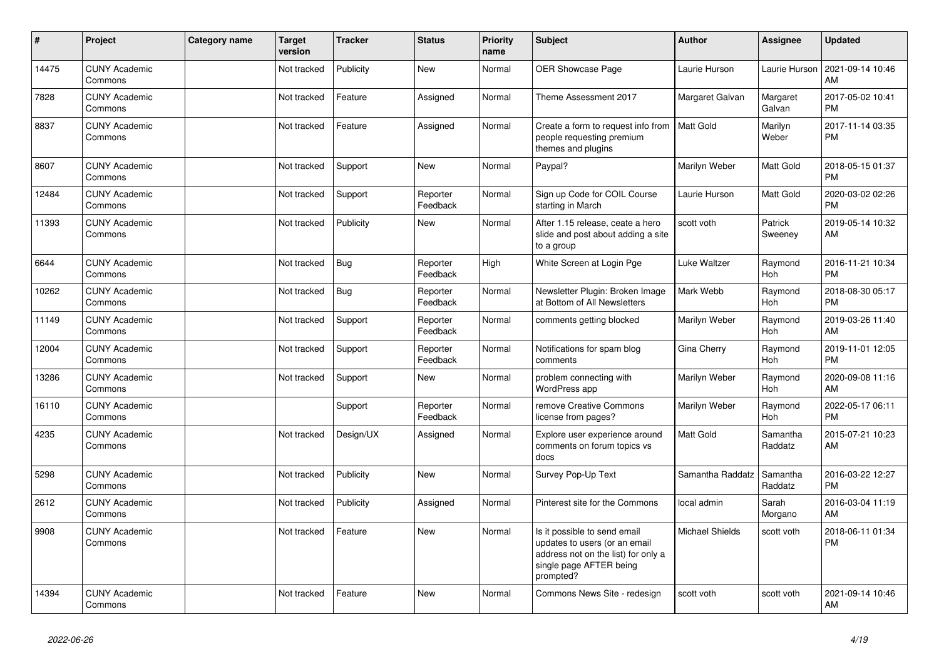| #     | Project                         | <b>Category name</b> | <b>Target</b><br>version | <b>Tracker</b> | <b>Status</b>        | <b>Priority</b><br>name | <b>Subject</b>                                                                                                                               | <b>Author</b>          | <b>Assignee</b>       | Updated                       |
|-------|---------------------------------|----------------------|--------------------------|----------------|----------------------|-------------------------|----------------------------------------------------------------------------------------------------------------------------------------------|------------------------|-----------------------|-------------------------------|
| 14475 | <b>CUNY Academic</b><br>Commons |                      | Not tracked              | Publicity      | <b>New</b>           | Normal                  | OER Showcase Page                                                                                                                            | Laurie Hurson          | Laurie Hurson         | 2021-09-14 10:46<br>AM        |
| 7828  | <b>CUNY Academic</b><br>Commons |                      | Not tracked              | Feature        | Assigned             | Normal                  | Theme Assessment 2017                                                                                                                        | Margaret Galvan        | Margaret<br>Galvan    | 2017-05-02 10:41<br><b>PM</b> |
| 8837  | <b>CUNY Academic</b><br>Commons |                      | Not tracked              | Feature        | Assigned             | Normal                  | Create a form to request info from<br>people requesting premium<br>themes and plugins                                                        | Matt Gold              | Marilyn<br>Weber      | 2017-11-14 03:35<br><b>PM</b> |
| 8607  | <b>CUNY Academic</b><br>Commons |                      | Not tracked              | Support        | <b>New</b>           | Normal                  | Paypal?                                                                                                                                      | Marilyn Weber          | Matt Gold             | 2018-05-15 01:37<br><b>PM</b> |
| 12484 | <b>CUNY Academic</b><br>Commons |                      | Not tracked              | Support        | Reporter<br>Feedback | Normal                  | Sign up Code for COIL Course<br>starting in March                                                                                            | Laurie Hurson          | Matt Gold             | 2020-03-02 02:26<br><b>PM</b> |
| 11393 | <b>CUNY Academic</b><br>Commons |                      | Not tracked              | Publicity      | New                  | Normal                  | After 1.15 release, ceate a hero<br>slide and post about adding a site<br>to a group                                                         | scott voth             | Patrick<br>Sweeney    | 2019-05-14 10:32<br>AM        |
| 6644  | <b>CUNY Academic</b><br>Commons |                      | Not tracked              | <b>Bug</b>     | Reporter<br>Feedback | High                    | White Screen at Login Pge                                                                                                                    | Luke Waltzer           | Raymond<br><b>Hoh</b> | 2016-11-21 10:34<br><b>PM</b> |
| 10262 | <b>CUNY Academic</b><br>Commons |                      | Not tracked              | <b>Bug</b>     | Reporter<br>Feedback | Normal                  | Newsletter Plugin: Broken Image<br>at Bottom of All Newsletters                                                                              | Mark Webb              | Raymond<br>Hoh        | 2018-08-30 05:17<br><b>PM</b> |
| 11149 | <b>CUNY Academic</b><br>Commons |                      | Not tracked              | Support        | Reporter<br>Feedback | Normal                  | comments getting blocked                                                                                                                     | Marilyn Weber          | Raymond<br>Hoh        | 2019-03-26 11:40<br>AM        |
| 12004 | <b>CUNY Academic</b><br>Commons |                      | Not tracked              | Support        | Reporter<br>Feedback | Normal                  | Notifications for spam blog<br>comments                                                                                                      | Gina Cherry            | Raymond<br><b>Hoh</b> | 2019-11-01 12:05<br><b>PM</b> |
| 13286 | <b>CUNY Academic</b><br>Commons |                      | Not tracked              | Support        | <b>New</b>           | Normal                  | problem connecting with<br>WordPress app                                                                                                     | Marilyn Weber          | Raymond<br>Hoh        | 2020-09-08 11:16<br>AM        |
| 16110 | <b>CUNY Academic</b><br>Commons |                      |                          | Support        | Reporter<br>Feedback | Normal                  | remove Creative Commons<br>license from pages?                                                                                               | Marilyn Weber          | Raymond<br>Hoh        | 2022-05-17 06:11<br><b>PM</b> |
| 4235  | <b>CUNY Academic</b><br>Commons |                      | Not tracked              | Design/UX      | Assigned             | Normal                  | Explore user experience around<br>comments on forum topics vs<br>docs                                                                        | Matt Gold              | Samantha<br>Raddatz   | 2015-07-21 10:23<br>AM        |
| 5298  | <b>CUNY Academic</b><br>Commons |                      | Not tracked              | Publicity      | <b>New</b>           | Normal                  | Survey Pop-Up Text                                                                                                                           | Samantha Raddatz       | Samantha<br>Raddatz   | 2016-03-22 12:27<br><b>PM</b> |
| 2612  | <b>CUNY Academic</b><br>Commons |                      | Not tracked              | Publicity      | Assigned             | Normal                  | Pinterest site for the Commons                                                                                                               | local admin            | Sarah<br>Morgano      | 2016-03-04 11:19<br>AM        |
| 9908  | <b>CUNY Academic</b><br>Commons |                      | Not tracked              | Feature        | New                  | Normal                  | Is it possible to send email<br>updates to users (or an email<br>address not on the list) for only a<br>single page AFTER being<br>prompted? | <b>Michael Shields</b> | scott voth            | 2018-06-11 01:34<br><b>PM</b> |
| 14394 | <b>CUNY Academic</b><br>Commons |                      | Not tracked              | Feature        | <b>New</b>           | Normal                  | Commons News Site - redesign                                                                                                                 | scott voth             | scott voth            | 2021-09-14 10:46<br>AM        |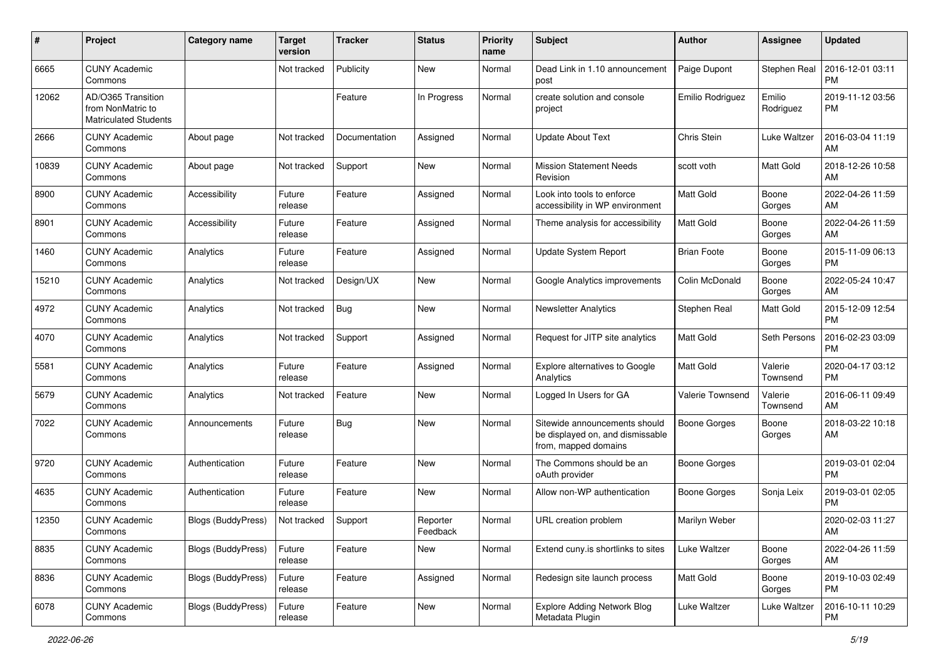| #     | Project                                                                 | <b>Category name</b>      | <b>Target</b><br>version | <b>Tracker</b> | <b>Status</b>        | <b>Priority</b><br>name | Subject                                                                                   | Author              | <b>Assignee</b>     | <b>Updated</b>                |
|-------|-------------------------------------------------------------------------|---------------------------|--------------------------|----------------|----------------------|-------------------------|-------------------------------------------------------------------------------------------|---------------------|---------------------|-------------------------------|
| 6665  | <b>CUNY Academic</b><br>Commons                                         |                           | Not tracked              | Publicity      | New                  | Normal                  | Dead Link in 1.10 announcement<br>post                                                    | Paige Dupont        | Stephen Real        | 2016-12-01 03:11<br>PM        |
| 12062 | AD/O365 Transition<br>from NonMatric to<br><b>Matriculated Students</b> |                           |                          | Feature        | In Progress          | Normal                  | create solution and console<br>project                                                    | Emilio Rodriguez    | Emilio<br>Rodriguez | 2019-11-12 03:56<br>PM        |
| 2666  | <b>CUNY Academic</b><br>Commons                                         | About page                | Not tracked              | Documentation  | Assigned             | Normal                  | <b>Update About Text</b>                                                                  | Chris Stein         | Luke Waltzer        | 2016-03-04 11:19<br>AM        |
| 10839 | <b>CUNY Academic</b><br>Commons                                         | About page                | Not tracked              | Support        | New                  | Normal                  | <b>Mission Statement Needs</b><br>Revision                                                | scott voth          | Matt Gold           | 2018-12-26 10:58<br>AM        |
| 8900  | <b>CUNY Academic</b><br>Commons                                         | Accessibility             | Future<br>release        | Feature        | Assigned             | Normal                  | Look into tools to enforce<br>accessibility in WP environment                             | Matt Gold           | Boone<br>Gorges     | 2022-04-26 11:59<br>AM        |
| 8901  | <b>CUNY Academic</b><br>Commons                                         | Accessibility             | Future<br>release        | Feature        | Assigned             | Normal                  | Theme analysis for accessibility                                                          | <b>Matt Gold</b>    | Boone<br>Gorges     | 2022-04-26 11:59<br>AM        |
| 1460  | <b>CUNY Academic</b><br>Commons                                         | Analytics                 | Future<br>release        | Feature        | Assigned             | Normal                  | Update System Report                                                                      | <b>Brian Foote</b>  | Boone<br>Gorges     | 2015-11-09 06:13<br><b>PM</b> |
| 15210 | <b>CUNY Academic</b><br>Commons                                         | Analytics                 | Not tracked              | Design/UX      | New                  | Normal                  | Google Analytics improvements                                                             | Colin McDonald      | Boone<br>Gorges     | 2022-05-24 10:47<br>AM        |
| 4972  | <b>CUNY Academic</b><br>Commons                                         | Analytics                 | Not tracked              | <b>Bug</b>     | <b>New</b>           | Normal                  | <b>Newsletter Analytics</b>                                                               | Stephen Real        | Matt Gold           | 2015-12-09 12:54<br>PM        |
| 4070  | <b>CUNY Academic</b><br>Commons                                         | Analytics                 | Not tracked              | Support        | Assigned             | Normal                  | Request for JITP site analytics                                                           | Matt Gold           | Seth Persons        | 2016-02-23 03:09<br><b>PM</b> |
| 5581  | <b>CUNY Academic</b><br>Commons                                         | Analytics                 | Future<br>release        | Feature        | Assigned             | Normal                  | Explore alternatives to Google<br>Analytics                                               | <b>Matt Gold</b>    | Valerie<br>Townsend | 2020-04-17 03:12<br><b>PM</b> |
| 5679  | <b>CUNY Academic</b><br>Commons                                         | Analytics                 | Not tracked              | Feature        | New                  | Normal                  | Logged In Users for GA                                                                    | Valerie Townsend    | Valerie<br>Townsend | 2016-06-11 09:49<br>AM        |
| 7022  | <b>CUNY Academic</b><br>Commons                                         | Announcements             | Future<br>release        | Bug            | <b>New</b>           | Normal                  | Sitewide announcements should<br>be displayed on, and dismissable<br>from, mapped domains | <b>Boone Gorges</b> | Boone<br>Gorges     | 2018-03-22 10:18<br>AM        |
| 9720  | <b>CUNY Academic</b><br>Commons                                         | Authentication            | Future<br>release        | Feature        | New                  | Normal                  | The Commons should be an<br>oAuth provider                                                | <b>Boone Gorges</b> |                     | 2019-03-01 02:04<br><b>PM</b> |
| 4635  | <b>CUNY Academic</b><br>Commons                                         | Authentication            | Future<br>release        | Feature        | New                  | Normal                  | Allow non-WP authentication                                                               | <b>Boone Gorges</b> | Sonja Leix          | 2019-03-01 02:05<br><b>PM</b> |
| 12350 | <b>CUNY Academic</b><br>Commons                                         | <b>Blogs (BuddyPress)</b> | Not tracked              | Support        | Reporter<br>Feedback | Normal                  | URL creation problem                                                                      | Marilyn Weber       |                     | 2020-02-03 11:27<br>AM        |
| 8835  | <b>CUNY Academic</b><br>Commons                                         | <b>Blogs (BuddyPress)</b> | Future<br>release        | Feature        | New                  | Normal                  | Extend cuny.is shortlinks to sites                                                        | Luke Waltzer        | Boone<br>Gorges     | 2022-04-26 11:59<br>AM        |
| 8836  | <b>CUNY Academic</b><br>Commons                                         | Blogs (BuddyPress)        | Future<br>release        | Feature        | Assigned             | Normal                  | Redesign site launch process                                                              | Matt Gold           | Boone<br>Gorges     | 2019-10-03 02:49<br>PM        |
| 6078  | <b>CUNY Academic</b><br>Commons                                         | Blogs (BuddyPress)        | Future<br>release        | Feature        | New                  | Normal                  | <b>Explore Adding Network Blog</b><br>Metadata Plugin                                     | Luke Waltzer        | Luke Waltzer        | 2016-10-11 10:29<br><b>PM</b> |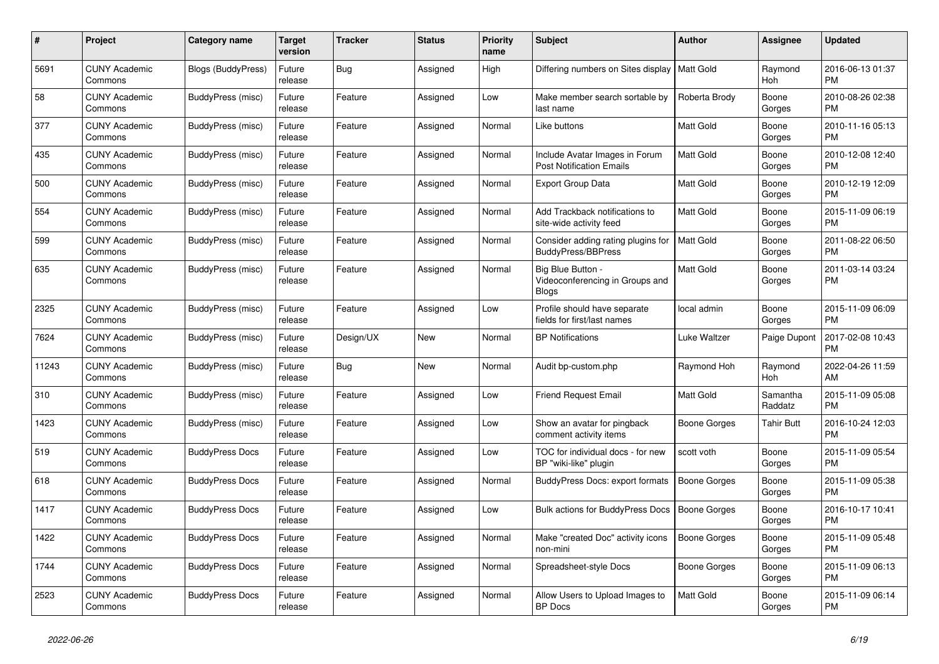| $\#$  | Project                         | Category name             | <b>Target</b><br>version | <b>Tracker</b> | <b>Status</b> | <b>Priority</b><br>name | <b>Subject</b>                                                       | <b>Author</b>       | <b>Assignee</b>       | <b>Updated</b>                |
|-------|---------------------------------|---------------------------|--------------------------|----------------|---------------|-------------------------|----------------------------------------------------------------------|---------------------|-----------------------|-------------------------------|
| 5691  | <b>CUNY Academic</b><br>Commons | <b>Blogs (BuddyPress)</b> | Future<br>release        | <b>Bug</b>     | Assigned      | High                    | Differing numbers on Sites display                                   | <b>Matt Gold</b>    | Raymond<br>Hoh        | 2016-06-13 01:37<br><b>PM</b> |
| 58    | <b>CUNY Academic</b><br>Commons | BuddyPress (misc)         | Future<br>release        | Feature        | Assigned      | Low                     | Make member search sortable by<br>last name                          | Roberta Brody       | Boone<br>Gorges       | 2010-08-26 02:38<br><b>PM</b> |
| 377   | <b>CUNY Academic</b><br>Commons | BuddyPress (misc)         | Future<br>release        | Feature        | Assigned      | Normal                  | Like buttons                                                         | Matt Gold           | Boone<br>Gorges       | 2010-11-16 05:13<br><b>PM</b> |
| 435   | <b>CUNY Academic</b><br>Commons | BuddyPress (misc)         | Future<br>release        | Feature        | Assigned      | Normal                  | Include Avatar Images in Forum<br><b>Post Notification Emails</b>    | <b>Matt Gold</b>    | Boone<br>Gorges       | 2010-12-08 12:40<br><b>PM</b> |
| 500   | <b>CUNY Academic</b><br>Commons | BuddyPress (misc)         | Future<br>release        | Feature        | Assigned      | Normal                  | <b>Export Group Data</b>                                             | Matt Gold           | Boone<br>Gorges       | 2010-12-19 12:09<br><b>PM</b> |
| 554   | <b>CUNY Academic</b><br>Commons | BuddyPress (misc)         | Future<br>release        | Feature        | Assigned      | Normal                  | Add Trackback notifications to<br>site-wide activity feed            | Matt Gold           | Boone<br>Gorges       | 2015-11-09 06:19<br><b>PM</b> |
| 599   | <b>CUNY Academic</b><br>Commons | BuddyPress (misc)         | Future<br>release        | Feature        | Assigned      | Normal                  | Consider adding rating plugins for<br>BuddyPress/BBPress             | <b>Matt Gold</b>    | Boone<br>Gorges       | 2011-08-22 06:50<br><b>PM</b> |
| 635   | <b>CUNY Academic</b><br>Commons | BuddyPress (misc)         | Future<br>release        | Feature        | Assigned      | Normal                  | Big Blue Button -<br>Videoconferencing in Groups and<br><b>Blogs</b> | <b>Matt Gold</b>    | Boone<br>Gorges       | 2011-03-14 03:24<br><b>PM</b> |
| 2325  | <b>CUNY Academic</b><br>Commons | BuddyPress (misc)         | Future<br>release        | Feature        | Assigned      | Low                     | Profile should have separate<br>fields for first/last names          | local admin         | Boone<br>Gorges       | 2015-11-09 06:09<br><b>PM</b> |
| 7624  | <b>CUNY Academic</b><br>Commons | <b>BuddyPress (misc)</b>  | Future<br>release        | Design/UX      | <b>New</b>    | Normal                  | <b>BP Notifications</b>                                              | Luke Waltzer        | Paige Dupont          | 2017-02-08 10:43<br><b>PM</b> |
| 11243 | <b>CUNY Academic</b><br>Commons | BuddyPress (misc)         | Future<br>release        | <b>Bug</b>     | <b>New</b>    | Normal                  | Audit bp-custom.php                                                  | Raymond Hoh         | Raymond<br><b>Hoh</b> | 2022-04-26 11:59<br>AM        |
| 310   | <b>CUNY Academic</b><br>Commons | BuddyPress (misc)         | Future<br>release        | Feature        | Assigned      | Low                     | <b>Friend Request Email</b>                                          | <b>Matt Gold</b>    | Samantha<br>Raddatz   | 2015-11-09 05:08<br><b>PM</b> |
| 1423  | <b>CUNY Academic</b><br>Commons | BuddyPress (misc)         | Future<br>release        | Feature        | Assigned      | Low                     | Show an avatar for pingback<br>comment activity items                | Boone Gorges        | <b>Tahir Butt</b>     | 2016-10-24 12:03<br><b>PM</b> |
| 519   | <b>CUNY Academic</b><br>Commons | <b>BuddyPress Docs</b>    | Future<br>release        | Feature        | Assigned      | Low                     | TOC for individual docs - for new<br>BP "wiki-like" plugin           | scott voth          | Boone<br>Gorges       | 2015-11-09 05:54<br><b>PM</b> |
| 618   | <b>CUNY Academic</b><br>Commons | <b>BuddyPress Docs</b>    | Future<br>release        | Feature        | Assigned      | Normal                  | BuddyPress Docs: export formats                                      | Boone Gorges        | Boone<br>Gorges       | 2015-11-09 05:38<br><b>PM</b> |
| 1417  | <b>CUNY Academic</b><br>Commons | <b>BuddyPress Docs</b>    | Future<br>release        | Feature        | Assigned      | Low                     | <b>Bulk actions for BuddyPress Docs</b>                              | <b>Boone Gorges</b> | Boone<br>Gorges       | 2016-10-17 10:41<br><b>PM</b> |
| 1422  | <b>CUNY Academic</b><br>Commons | <b>BuddyPress Docs</b>    | Future<br>release        | Feature        | Assigned      | Normal                  | Make "created Doc" activity icons<br>non-mini                        | <b>Boone Gorges</b> | Boone<br>Gorges       | 2015-11-09 05:48<br><b>PM</b> |
| 1744  | <b>CUNY Academic</b><br>Commons | <b>BuddyPress Docs</b>    | Future<br>release        | Feature        | Assigned      | Normal                  | Spreadsheet-style Docs                                               | Boone Gorges        | Boone<br>Gorges       | 2015-11-09 06:13<br><b>PM</b> |
| 2523  | <b>CUNY Academic</b><br>Commons | <b>BuddyPress Docs</b>    | Future<br>release        | Feature        | Assigned      | Normal                  | Allow Users to Upload Images to<br><b>BP</b> Docs                    | <b>Matt Gold</b>    | Boone<br>Gorges       | 2015-11-09 06:14<br><b>PM</b> |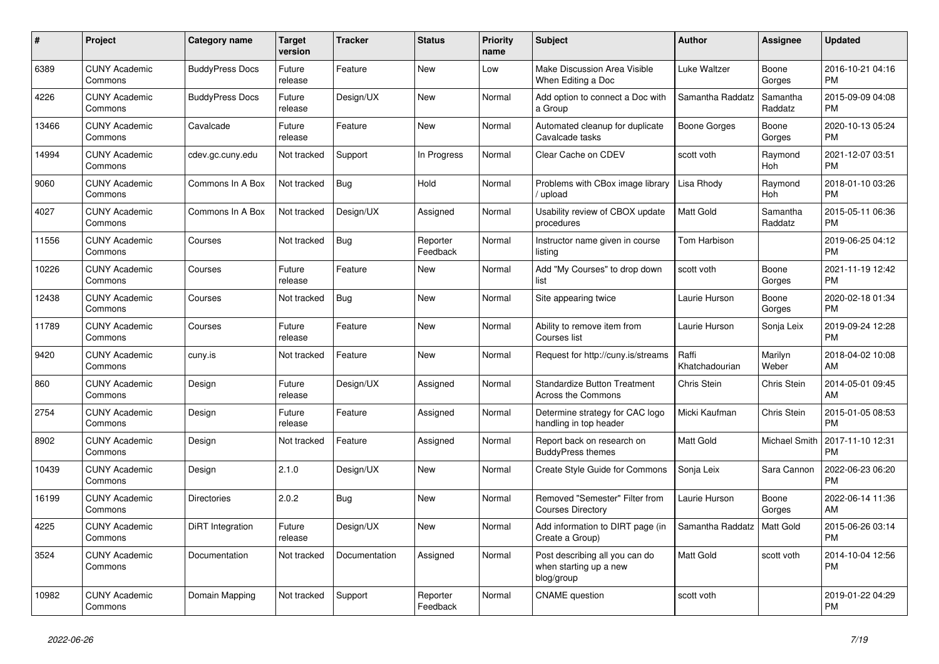| #     | <b>Project</b>                  | <b>Category name</b>   | Target<br>version | Tracker       | <b>Status</b>        | <b>Priority</b><br>name | <b>Subject</b>                                                         | <b>Author</b>           | <b>Assignee</b>       | <b>Updated</b>                |
|-------|---------------------------------|------------------------|-------------------|---------------|----------------------|-------------------------|------------------------------------------------------------------------|-------------------------|-----------------------|-------------------------------|
| 6389  | <b>CUNY Academic</b><br>Commons | <b>BuddyPress Docs</b> | Future<br>release | Feature       | New                  | Low                     | Make Discussion Area Visible<br>When Editing a Doc                     | Luke Waltzer            | Boone<br>Gorges       | 2016-10-21 04:16<br><b>PM</b> |
| 4226  | <b>CUNY Academic</b><br>Commons | <b>BuddyPress Docs</b> | Future<br>release | Design/UX     | <b>New</b>           | Normal                  | Add option to connect a Doc with<br>a Group                            | Samantha Raddatz        | Samantha<br>Raddatz   | 2015-09-09 04:08<br><b>PM</b> |
| 13466 | <b>CUNY Academic</b><br>Commons | Cavalcade              | Future<br>release | Feature       | <b>New</b>           | Normal                  | Automated cleanup for duplicate<br>Cavalcade tasks                     | Boone Gorges            | Boone<br>Gorges       | 2020-10-13 05:24<br><b>PM</b> |
| 14994 | <b>CUNY Academic</b><br>Commons | cdev.gc.cuny.edu       | Not tracked       | Support       | In Progress          | Normal                  | Clear Cache on CDEV                                                    | scott voth              | Raymond<br><b>Hoh</b> | 2021-12-07 03:51<br><b>PM</b> |
| 9060  | <b>CUNY Academic</b><br>Commons | Commons In A Box       | Not tracked       | Bug           | Hold                 | Normal                  | Problems with CBox image library<br>upload                             | Lisa Rhody              | Raymond<br>Hoh        | 2018-01-10 03:26<br><b>PM</b> |
| 4027  | <b>CUNY Academic</b><br>Commons | Commons In A Box       | Not tracked       | Design/UX     | Assigned             | Normal                  | Usability review of CBOX update<br>procedures                          | Matt Gold               | Samantha<br>Raddatz   | 2015-05-11 06:36<br><b>PM</b> |
| 11556 | <b>CUNY Academic</b><br>Commons | Courses                | Not tracked       | <b>Bug</b>    | Reporter<br>Feedback | Normal                  | Instructor name given in course<br>listina                             | Tom Harbison            |                       | 2019-06-25 04:12<br><b>PM</b> |
| 10226 | <b>CUNY Academic</b><br>Commons | Courses                | Future<br>release | Feature       | <b>New</b>           | Normal                  | Add "My Courses" to drop down<br>list                                  | scott voth              | Boone<br>Gorges       | 2021-11-19 12:42<br><b>PM</b> |
| 12438 | <b>CUNY Academic</b><br>Commons | Courses                | Not tracked       | Bug           | <b>New</b>           | Normal                  | Site appearing twice                                                   | Laurie Hurson           | Boone<br>Gorges       | 2020-02-18 01:34<br><b>PM</b> |
| 11789 | <b>CUNY Academic</b><br>Commons | Courses                | Future<br>release | Feature       | New                  | Normal                  | Ability to remove item from<br>Courses list                            | Laurie Hurson           | Sonja Leix            | 2019-09-24 12:28<br><b>PM</b> |
| 9420  | <b>CUNY Academic</b><br>Commons | cuny.is                | Not tracked       | Feature       | <b>New</b>           | Normal                  | Request for http://cuny.is/streams                                     | Raffi<br>Khatchadourian | Marilyn<br>Weber      | 2018-04-02 10:08<br>AM        |
| 860   | <b>CUNY Academic</b><br>Commons | Design                 | Future<br>release | Design/UX     | Assigned             | Normal                  | <b>Standardize Button Treatment</b><br><b>Across the Commons</b>       | Chris Stein             | Chris Stein           | 2014-05-01 09:45<br>AM        |
| 2754  | <b>CUNY Academic</b><br>Commons | Design                 | Future<br>release | Feature       | Assigned             | Normal                  | Determine strategy for CAC logo<br>handling in top header              | Micki Kaufman           | Chris Stein           | 2015-01-05 08:53<br><b>PM</b> |
| 8902  | <b>CUNY Academic</b><br>Commons | Design                 | Not tracked       | Feature       | Assigned             | Normal                  | Report back on research on<br><b>BuddyPress themes</b>                 | Matt Gold               | Michael Smith         | 2017-11-10 12:31<br><b>PM</b> |
| 10439 | <b>CUNY Academic</b><br>Commons | Design                 | 2.1.0             | Design/UX     | New                  | Normal                  | Create Style Guide for Commons                                         | Sonja Leix              | Sara Cannon           | 2022-06-23 06:20<br><b>PM</b> |
| 16199 | <b>CUNY Academic</b><br>Commons | <b>Directories</b>     | 2.0.2             | <b>Bug</b>    | <b>New</b>           | Normal                  | Removed "Semester" Filter from<br><b>Courses Directory</b>             | Laurie Hurson           | Boone<br>Gorges       | 2022-06-14 11:36<br>AM        |
| 4225  | <b>CUNY Academic</b><br>Commons | DiRT Integration       | Future<br>release | Design/UX     | <b>New</b>           | Normal                  | Add information to DIRT page (in<br>Create a Group)                    | Samantha Raddatz        | <b>Matt Gold</b>      | 2015-06-26 03:14<br><b>PM</b> |
| 3524  | <b>CUNY Academic</b><br>Commons | Documentation          | Not tracked       | Documentation | Assigned             | Normal                  | Post describing all you can do<br>when starting up a new<br>blog/group | Matt Gold               | scott voth            | 2014-10-04 12:56<br><b>PM</b> |
| 10982 | <b>CUNY Academic</b><br>Commons | Domain Mapping         | Not tracked       | Support       | Reporter<br>Feedback | Normal                  | <b>CNAME</b> question                                                  | scott voth              |                       | 2019-01-22 04:29<br><b>PM</b> |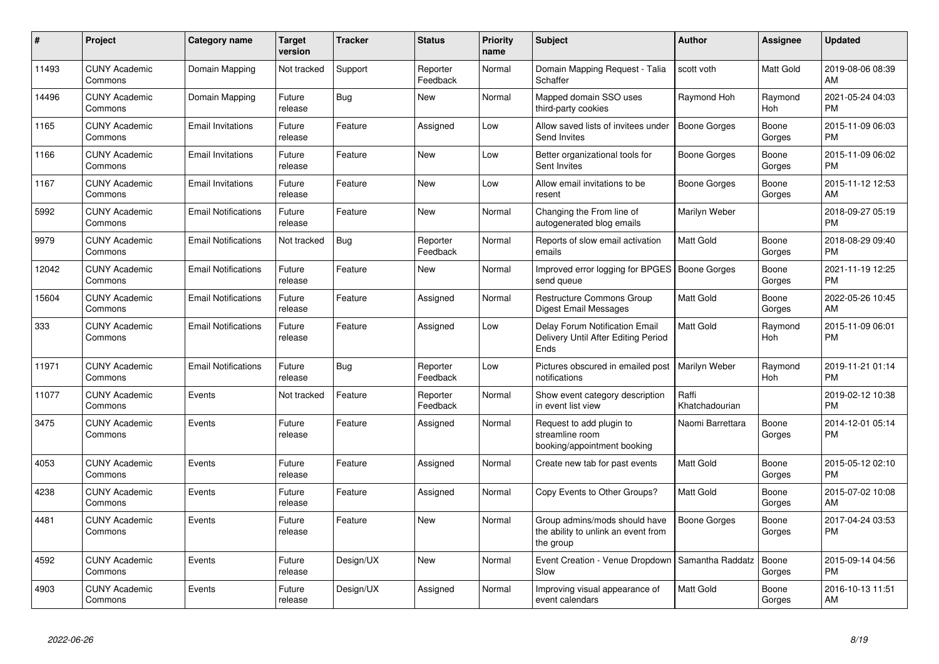| $\pmb{\#}$ | Project                         | Category name              | <b>Target</b><br>version | <b>Tracker</b> | <b>Status</b>        | <b>Priority</b><br>name | <b>Subject</b>                                                                    | Author                  | <b>Assignee</b> | <b>Updated</b>                |
|------------|---------------------------------|----------------------------|--------------------------|----------------|----------------------|-------------------------|-----------------------------------------------------------------------------------|-------------------------|-----------------|-------------------------------|
| 11493      | <b>CUNY Academic</b><br>Commons | Domain Mapping             | Not tracked              | Support        | Reporter<br>Feedback | Normal                  | Domain Mapping Request - Talia<br>Schaffer                                        | scott voth              | Matt Gold       | 2019-08-06 08:39<br>AM        |
| 14496      | <b>CUNY Academic</b><br>Commons | Domain Mapping             | Future<br>release        | Bug            | <b>New</b>           | Normal                  | Mapped domain SSO uses<br>third-party cookies                                     | Raymond Hoh             | Raymond<br>Hoh  | 2021-05-24 04:03<br><b>PM</b> |
| 1165       | <b>CUNY Academic</b><br>Commons | <b>Email Invitations</b>   | Future<br>release        | Feature        | Assigned             | Low                     | Allow saved lists of invitees under<br>Send Invites                               | Boone Gorges            | Boone<br>Gorges | 2015-11-09 06:03<br><b>PM</b> |
| 1166       | <b>CUNY Academic</b><br>Commons | <b>Email Invitations</b>   | Future<br>release        | Feature        | <b>New</b>           | Low                     | Better organizational tools for<br>Sent Invites                                   | <b>Boone Gorges</b>     | Boone<br>Gorges | 2015-11-09 06:02<br><b>PM</b> |
| 1167       | <b>CUNY Academic</b><br>Commons | <b>Email Invitations</b>   | Future<br>release        | Feature        | <b>New</b>           | Low                     | Allow email invitations to be<br>resent                                           | <b>Boone Gorges</b>     | Boone<br>Gorges | 2015-11-12 12:53<br>AM        |
| 5992       | <b>CUNY Academic</b><br>Commons | <b>Email Notifications</b> | Future<br>release        | Feature        | <b>New</b>           | Normal                  | Changing the From line of<br>autogenerated blog emails                            | Marilyn Weber           |                 | 2018-09-27 05:19<br><b>PM</b> |
| 9979       | <b>CUNY Academic</b><br>Commons | <b>Email Notifications</b> | Not tracked              | Bug            | Reporter<br>Feedback | Normal                  | Reports of slow email activation<br>emails                                        | <b>Matt Gold</b>        | Boone<br>Gorges | 2018-08-29 09:40<br><b>PM</b> |
| 12042      | <b>CUNY Academic</b><br>Commons | <b>Email Notifications</b> | Future<br>release        | Feature        | New                  | Normal                  | Improved error logging for BPGES   Boone Gorges<br>send queue                     |                         | Boone<br>Gorges | 2021-11-19 12:25<br><b>PM</b> |
| 15604      | <b>CUNY Academic</b><br>Commons | <b>Email Notifications</b> | Future<br>release        | Feature        | Assigned             | Normal                  | <b>Restructure Commons Group</b><br><b>Digest Email Messages</b>                  | <b>Matt Gold</b>        | Boone<br>Gorges | 2022-05-26 10:45<br>AM        |
| 333        | <b>CUNY Academic</b><br>Commons | <b>Email Notifications</b> | Future<br>release        | Feature        | Assigned             | Low                     | Delay Forum Notification Email<br>Delivery Until After Editing Period<br>Ends     | <b>Matt Gold</b>        | Raymond<br>Hoh  | 2015-11-09 06:01<br><b>PM</b> |
| 11971      | <b>CUNY Academic</b><br>Commons | <b>Email Notifications</b> | Future<br>release        | Bug            | Reporter<br>Feedback | Low                     | Pictures obscured in emailed post<br>notifications                                | Marilyn Weber           | Raymond<br>Hoh  | 2019-11-21 01:14<br><b>PM</b> |
| 11077      | <b>CUNY Academic</b><br>Commons | Events                     | Not tracked              | Feature        | Reporter<br>Feedback | Normal                  | Show event category description<br>in event list view                             | Raffi<br>Khatchadourian |                 | 2019-02-12 10:38<br><b>PM</b> |
| 3475       | <b>CUNY Academic</b><br>Commons | Events                     | Future<br>release        | Feature        | Assigned             | Normal                  | Request to add plugin to<br>streamline room<br>booking/appointment booking        | Naomi Barrettara        | Boone<br>Gorges | 2014-12-01 05:14<br><b>PM</b> |
| 4053       | <b>CUNY Academic</b><br>Commons | Events                     | Future<br>release        | Feature        | Assigned             | Normal                  | Create new tab for past events                                                    | <b>Matt Gold</b>        | Boone<br>Gorges | 2015-05-12 02:10<br><b>PM</b> |
| 4238       | <b>CUNY Academic</b><br>Commons | Events                     | Future<br>release        | Feature        | Assigned             | Normal                  | Copy Events to Other Groups?                                                      | Matt Gold               | Boone<br>Gorges | 2015-07-02 10:08<br>AM        |
| 4481       | <b>CUNY Academic</b><br>Commons | Events                     | Future<br>release        | Feature        | <b>New</b>           | Normal                  | Group admins/mods should have<br>the ability to unlink an event from<br>the group | <b>Boone Gorges</b>     | Boone<br>Gorges | 2017-04-24 03:53<br><b>PM</b> |
| 4592       | <b>CUNY Academic</b><br>Commons | Events                     | Future<br>release        | Design/UX      | <b>New</b>           | Normal                  | Event Creation - Venue Dropdown<br>Slow                                           | Samantha Raddatz        | Boone<br>Gorges | 2015-09-14 04:56<br>PM        |
| 4903       | <b>CUNY Academic</b><br>Commons | Events                     | Future<br>release        | Design/UX      | Assigned             | Normal                  | Improving visual appearance of<br>event calendars                                 | Matt Gold               | Boone<br>Gorges | 2016-10-13 11:51<br>AM        |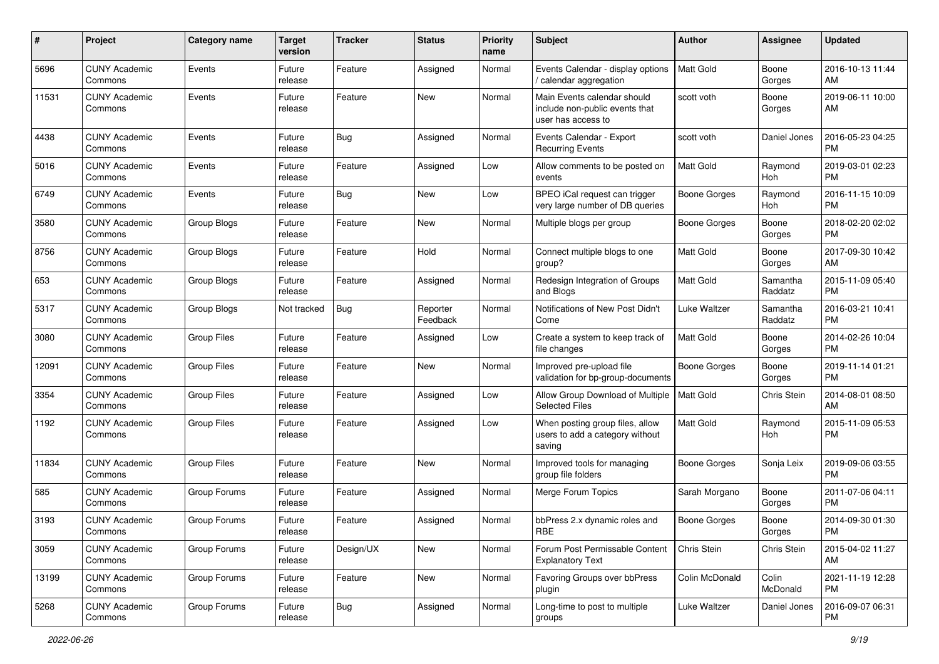| #     | Project                         | <b>Category name</b> | <b>Target</b><br>version | Tracker    | <b>Status</b>        | <b>Priority</b><br>name | Subject                                                                             | Author              | Assignee            | <b>Updated</b>                |
|-------|---------------------------------|----------------------|--------------------------|------------|----------------------|-------------------------|-------------------------------------------------------------------------------------|---------------------|---------------------|-------------------------------|
| 5696  | <b>CUNY Academic</b><br>Commons | Events               | Future<br>release        | Feature    | Assigned             | Normal                  | Events Calendar - display options<br>calendar aggregation                           | <b>Matt Gold</b>    | Boone<br>Gorges     | 2016-10-13 11:44<br>AM        |
| 11531 | <b>CUNY Academic</b><br>Commons | Events               | Future<br>release        | Feature    | New                  | Normal                  | Main Events calendar should<br>include non-public events that<br>user has access to | scott voth          | Boone<br>Gorges     | 2019-06-11 10:00<br>AM        |
| 4438  | <b>CUNY Academic</b><br>Commons | Events               | Future<br>release        | Bug        | Assigned             | Normal                  | Events Calendar - Export<br><b>Recurring Events</b>                                 | scott voth          | Daniel Jones        | 2016-05-23 04:25<br><b>PM</b> |
| 5016  | <b>CUNY Academic</b><br>Commons | Events               | Future<br>release        | Feature    | Assigned             | Low                     | Allow comments to be posted on<br>events                                            | Matt Gold           | Raymond<br>Hoh      | 2019-03-01 02:23<br><b>PM</b> |
| 6749  | <b>CUNY Academic</b><br>Commons | Events               | Future<br>release        | Bug        | <b>New</b>           | Low                     | BPEO iCal request can trigger<br>very large number of DB queries                    | Boone Gorges        | Raymond<br>Hoh      | 2016-11-15 10:09<br><b>PM</b> |
| 3580  | <b>CUNY Academic</b><br>Commons | Group Blogs          | Future<br>release        | Feature    | New                  | Normal                  | Multiple blogs per group                                                            | Boone Gorges        | Boone<br>Gorges     | 2018-02-20 02:02<br><b>PM</b> |
| 8756  | <b>CUNY Academic</b><br>Commons | Group Blogs          | Future<br>release        | Feature    | Hold                 | Normal                  | Connect multiple blogs to one<br>group?                                             | Matt Gold           | Boone<br>Gorges     | 2017-09-30 10:42<br>AM        |
| 653   | <b>CUNY Academic</b><br>Commons | Group Blogs          | Future<br>release        | Feature    | Assigned             | Normal                  | Redesign Integration of Groups<br>and Blogs                                         | Matt Gold           | Samantha<br>Raddatz | 2015-11-09 05:40<br><b>PM</b> |
| 5317  | <b>CUNY Academic</b><br>Commons | Group Blogs          | Not tracked              | <b>Bug</b> | Reporter<br>Feedback | Normal                  | Notifications of New Post Didn't<br>Come                                            | Luke Waltzer        | Samantha<br>Raddatz | 2016-03-21 10:41<br><b>PM</b> |
| 3080  | <b>CUNY Academic</b><br>Commons | <b>Group Files</b>   | Future<br>release        | Feature    | Assigned             | Low                     | Create a system to keep track of<br>file changes                                    | Matt Gold           | Boone<br>Gorges     | 2014-02-26 10:04<br><b>PM</b> |
| 12091 | <b>CUNY Academic</b><br>Commons | <b>Group Files</b>   | Future<br>release        | Feature    | <b>New</b>           | Normal                  | Improved pre-upload file<br>validation for bp-group-documents                       | Boone Gorges        | Boone<br>Gorges     | 2019-11-14 01:21<br><b>PM</b> |
| 3354  | <b>CUNY Academic</b><br>Commons | <b>Group Files</b>   | Future<br>release        | Feature    | Assigned             | Low                     | Allow Group Download of Multiple<br><b>Selected Files</b>                           | <b>Matt Gold</b>    | Chris Stein         | 2014-08-01 08:50<br>AM        |
| 1192  | <b>CUNY Academic</b><br>Commons | <b>Group Files</b>   | Future<br>release        | Feature    | Assigned             | Low                     | When posting group files, allow<br>users to add a category without<br>saving        | Matt Gold           | Raymond<br>Hoh      | 2015-11-09 05:53<br><b>PM</b> |
| 11834 | <b>CUNY Academic</b><br>Commons | <b>Group Files</b>   | Future<br>release        | Feature    | New                  | Normal                  | Improved tools for managing<br>group file folders                                   | Boone Gorges        | Sonja Leix          | 2019-09-06 03:55<br><b>PM</b> |
| 585   | <b>CUNY Academic</b><br>Commons | Group Forums         | Future<br>release        | Feature    | Assigned             | Normal                  | Merge Forum Topics                                                                  | Sarah Morgano       | Boone<br>Gorges     | 2011-07-06 04:11<br><b>PM</b> |
| 3193  | <b>CUNY Academic</b><br>Commons | Group Forums         | Future<br>release        | Feature    | Assigned             | Normal                  | bbPress 2.x dynamic roles and<br>RBE                                                | <b>Boone Gorges</b> | Boone<br>Gorges     | 2014-09-30 01:30<br>PM        |
| 3059  | <b>CUNY Academic</b><br>Commons | Group Forums         | Future<br>release        | Design/UX  | New                  | Normal                  | Forum Post Permissable Content<br><b>Explanatory Text</b>                           | <b>Chris Stein</b>  | Chris Stein         | 2015-04-02 11:27<br>AM        |
| 13199 | <b>CUNY Academic</b><br>Commons | Group Forums         | Future<br>release        | Feature    | New                  | Normal                  | Favoring Groups over bbPress<br>plugin                                              | Colin McDonald      | Colin<br>McDonald   | 2021-11-19 12:28<br><b>PM</b> |
| 5268  | <b>CUNY Academic</b><br>Commons | Group Forums         | Future<br>release        | Bug        | Assigned             | Normal                  | Long-time to post to multiple<br>groups                                             | Luke Waltzer        | Daniel Jones        | 2016-09-07 06:31<br><b>PM</b> |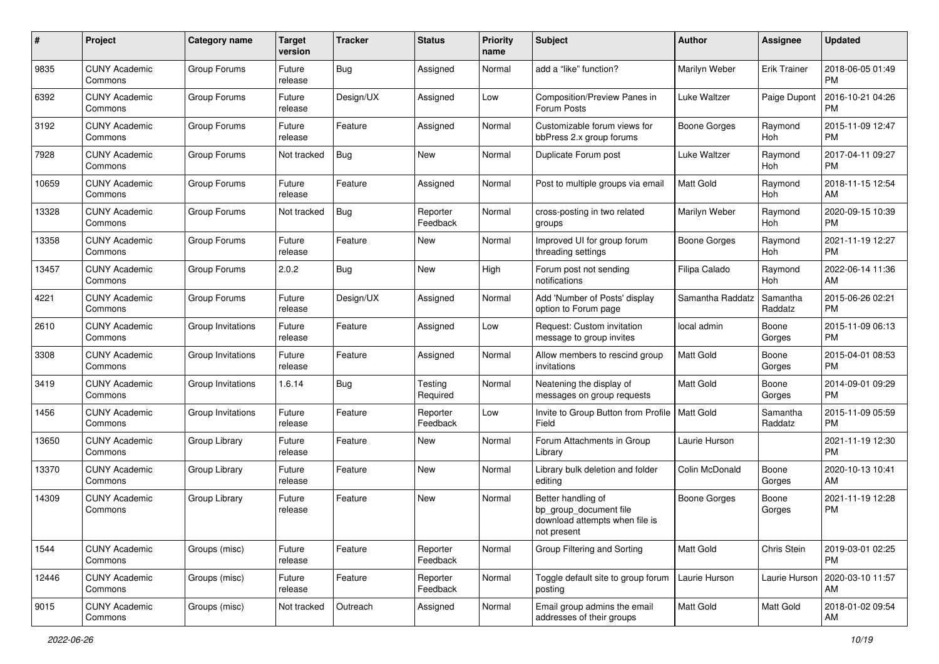| #     | Project                         | <b>Category name</b> | <b>Target</b><br>version | <b>Tracker</b> | <b>Status</b>        | <b>Priority</b><br>name | Subject                                                                                       | Author              | <b>Assignee</b>       | <b>Updated</b>                |
|-------|---------------------------------|----------------------|--------------------------|----------------|----------------------|-------------------------|-----------------------------------------------------------------------------------------------|---------------------|-----------------------|-------------------------------|
| 9835  | <b>CUNY Academic</b><br>Commons | Group Forums         | Future<br>release        | <b>Bug</b>     | Assigned             | Normal                  | add a "like" function?                                                                        | Marilyn Weber       | <b>Erik Trainer</b>   | 2018-06-05 01:49<br>PM        |
| 6392  | <b>CUNY Academic</b><br>Commons | Group Forums         | Future<br>release        | Design/UX      | Assigned             | Low                     | Composition/Preview Panes in<br>Forum Posts                                                   | Luke Waltzer        | Paige Dupont          | 2016-10-21 04:26<br><b>PM</b> |
| 3192  | <b>CUNY Academic</b><br>Commons | Group Forums         | Future<br>release        | Feature        | Assigned             | Normal                  | Customizable forum views for<br>bbPress 2.x group forums                                      | <b>Boone Gorges</b> | Raymond<br>Hoh        | 2015-11-09 12:47<br><b>PM</b> |
| 7928  | <b>CUNY Academic</b><br>Commons | Group Forums         | Not tracked              | Bug            | <b>New</b>           | Normal                  | Duplicate Forum post                                                                          | Luke Waltzer        | Raymond<br>Hoh        | 2017-04-11 09:27<br><b>PM</b> |
| 10659 | <b>CUNY Academic</b><br>Commons | Group Forums         | Future<br>release        | Feature        | Assigned             | Normal                  | Post to multiple groups via email                                                             | Matt Gold           | Raymond<br>Hoh        | 2018-11-15 12:54<br>AM        |
| 13328 | <b>CUNY Academic</b><br>Commons | Group Forums         | Not tracked              | Bug            | Reporter<br>Feedback | Normal                  | cross-posting in two related<br>groups                                                        | Marilyn Weber       | Raymond<br>Hoh        | 2020-09-15 10:39<br><b>PM</b> |
| 13358 | <b>CUNY Academic</b><br>Commons | Group Forums         | Future<br>release        | Feature        | New                  | Normal                  | Improved UI for group forum<br>threading settings                                             | Boone Gorges        | Raymond<br>Hoh        | 2021-11-19 12:27<br><b>PM</b> |
| 13457 | <b>CUNY Academic</b><br>Commons | Group Forums         | 2.0.2                    | Bug            | New                  | High                    | Forum post not sending<br>notifications                                                       | Filipa Calado       | Raymond<br><b>Hoh</b> | 2022-06-14 11:36<br>AM        |
| 4221  | <b>CUNY Academic</b><br>Commons | Group Forums         | Future<br>release        | Design/UX      | Assigned             | Normal                  | Add 'Number of Posts' display<br>option to Forum page                                         | Samantha Raddatz    | Samantha<br>Raddatz   | 2015-06-26 02:21<br><b>PM</b> |
| 2610  | <b>CUNY Academic</b><br>Commons | Group Invitations    | Future<br>release        | Feature        | Assigned             | Low                     | Request: Custom invitation<br>message to group invites                                        | local admin         | Boone<br>Gorges       | 2015-11-09 06:13<br><b>PM</b> |
| 3308  | <b>CUNY Academic</b><br>Commons | Group Invitations    | Future<br>release        | Feature        | Assigned             | Normal                  | Allow members to rescind group<br>invitations                                                 | <b>Matt Gold</b>    | Boone<br>Gorges       | 2015-04-01 08:53<br><b>PM</b> |
| 3419  | <b>CUNY Academic</b><br>Commons | Group Invitations    | 1.6.14                   | Bug            | Testing<br>Required  | Normal                  | Neatening the display of<br>messages on group requests                                        | Matt Gold           | Boone<br>Gorges       | 2014-09-01 09:29<br><b>PM</b> |
| 1456  | <b>CUNY Academic</b><br>Commons | Group Invitations    | Future<br>release        | Feature        | Reporter<br>Feedback | Low                     | Invite to Group Button from Profile   Matt Gold<br>Field                                      |                     | Samantha<br>Raddatz   | 2015-11-09 05:59<br><b>PM</b> |
| 13650 | <b>CUNY Academic</b><br>Commons | Group Library        | Future<br>release        | Feature        | New                  | Normal                  | Forum Attachments in Group<br>Library                                                         | Laurie Hurson       |                       | 2021-11-19 12:30<br><b>PM</b> |
| 13370 | <b>CUNY Academic</b><br>Commons | Group Library        | Future<br>release        | Feature        | <b>New</b>           | Normal                  | Library bulk deletion and folder<br>editing                                                   | Colin McDonald      | Boone<br>Gorges       | 2020-10-13 10:41<br>AM        |
| 14309 | <b>CUNY Academic</b><br>Commons | Group Library        | Future<br>release        | Feature        | New                  | Normal                  | Better handling of<br>bp_group_document file<br>download attempts when file is<br>not present | <b>Boone Gorges</b> | Boone<br>Gorges       | 2021-11-19 12:28<br>PM        |
| 1544  | <b>CUNY Academic</b><br>Commons | Groups (misc)        | Future<br>release        | Feature        | Reporter<br>Feedback | Normal                  | Group Filtering and Sorting                                                                   | Matt Gold           | Chris Stein           | 2019-03-01 02:25<br><b>PM</b> |
| 12446 | <b>CUNY Academic</b><br>Commons | Groups (misc)        | Future<br>release        | Feature        | Reporter<br>Feedback | Normal                  | Toggle default site to group forum<br>posting                                                 | Laurie Hurson       | Laurie Hurson         | 2020-03-10 11:57<br>AM        |
| 9015  | <b>CUNY Academic</b><br>Commons | Groups (misc)        | Not tracked              | Outreach       | Assigned             | Normal                  | Email group admins the email<br>addresses of their groups                                     | Matt Gold           | Matt Gold             | 2018-01-02 09:54<br>AM        |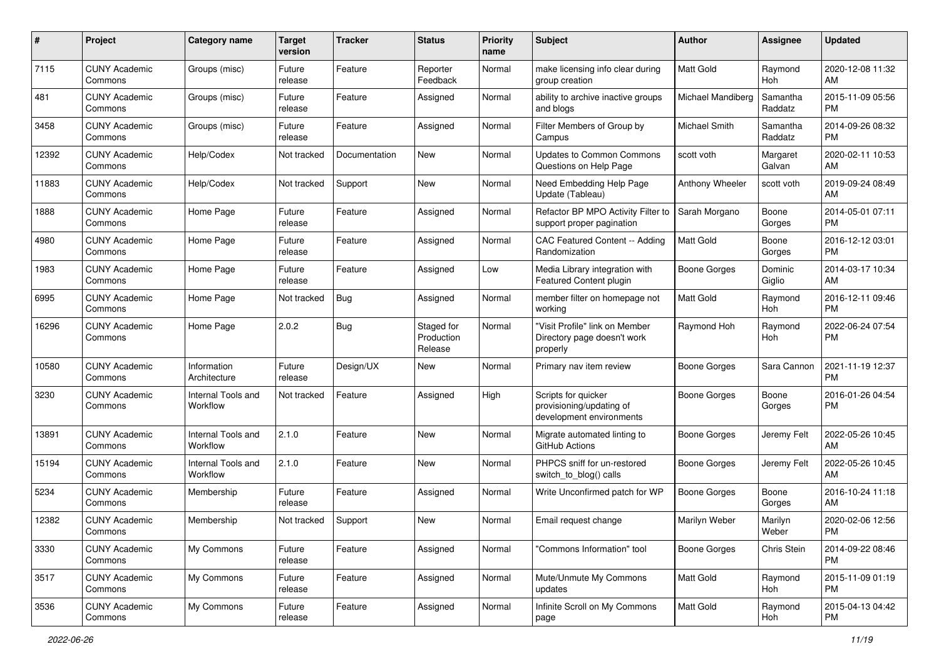| #     | Project                         | <b>Category name</b>           | <b>Target</b><br>version | <b>Tracker</b> | <b>Status</b>                       | <b>Priority</b><br>name | <b>Subject</b>                                                              | Author              | Assignee            | <b>Updated</b>                |
|-------|---------------------------------|--------------------------------|--------------------------|----------------|-------------------------------------|-------------------------|-----------------------------------------------------------------------------|---------------------|---------------------|-------------------------------|
| 7115  | <b>CUNY Academic</b><br>Commons | Groups (misc)                  | Future<br>release        | Feature        | Reporter<br>Feedback                | Normal                  | make licensing info clear during<br>group creation                          | <b>Matt Gold</b>    | Raymond<br>Hoh      | 2020-12-08 11:32<br>AM        |
| 481   | <b>CUNY Academic</b><br>Commons | Groups (misc)                  | Future<br>release        | Feature        | Assigned                            | Normal                  | ability to archive inactive groups<br>and blogs                             | Michael Mandiberg   | Samantha<br>Raddatz | 2015-11-09 05:56<br><b>PM</b> |
| 3458  | <b>CUNY Academic</b><br>Commons | Groups (misc)                  | Future<br>release        | Feature        | Assigned                            | Normal                  | Filter Members of Group by<br>Campus                                        | Michael Smith       | Samantha<br>Raddatz | 2014-09-26 08:32<br><b>PM</b> |
| 12392 | <b>CUNY Academic</b><br>Commons | Help/Codex                     | Not tracked              | Documentation  | <b>New</b>                          | Normal                  | <b>Updates to Common Commons</b><br>Questions on Help Page                  | scott voth          | Margaret<br>Galvan  | 2020-02-11 10:53<br>AM        |
| 11883 | <b>CUNY Academic</b><br>Commons | Help/Codex                     | Not tracked              | Support        | <b>New</b>                          | Normal                  | Need Embedding Help Page<br>Update (Tableau)                                | Anthony Wheeler     | scott voth          | 2019-09-24 08:49<br>AM        |
| 1888  | <b>CUNY Academic</b><br>Commons | Home Page                      | Future<br>release        | Feature        | Assigned                            | Normal                  | Refactor BP MPO Activity Filter to<br>support proper pagination             | Sarah Morgano       | Boone<br>Gorges     | 2014-05-01 07:11<br><b>PM</b> |
| 4980  | <b>CUNY Academic</b><br>Commons | Home Page                      | Future<br>release        | Feature        | Assigned                            | Normal                  | CAC Featured Content -- Adding<br>Randomization                             | Matt Gold           | Boone<br>Gorges     | 2016-12-12 03:01<br><b>PM</b> |
| 1983  | <b>CUNY Academic</b><br>Commons | Home Page                      | Future<br>release        | Feature        | Assigned                            | Low                     | Media Library integration with<br>Featured Content plugin                   | <b>Boone Gorges</b> | Dominic<br>Giglio   | 2014-03-17 10:34<br>AM        |
| 6995  | <b>CUNY Academic</b><br>Commons | Home Page                      | Not tracked              | <b>Bug</b>     | Assigned                            | Normal                  | member filter on homepage not<br>working                                    | <b>Matt Gold</b>    | Raymond<br>Hoh      | 2016-12-11 09:46<br><b>PM</b> |
| 16296 | <b>CUNY Academic</b><br>Commons | Home Page                      | 2.0.2                    | Bug            | Staged for<br>Production<br>Release | Normal                  | "Visit Profile" link on Member<br>Directory page doesn't work<br>properly   | Raymond Hoh         | Raymond<br>Hoh      | 2022-06-24 07:54<br><b>PM</b> |
| 10580 | <b>CUNY Academic</b><br>Commons | Information<br>Architecture    | Future<br>release        | Design/UX      | <b>New</b>                          | Normal                  | Primary nav item review                                                     | <b>Boone Gorges</b> | Sara Cannon         | 2021-11-19 12:37<br><b>PM</b> |
| 3230  | <b>CUNY Academic</b><br>Commons | Internal Tools and<br>Workflow | Not tracked              | Feature        | Assigned                            | High                    | Scripts for quicker<br>provisioning/updating of<br>development environments | <b>Boone Gorges</b> | Boone<br>Gorges     | 2016-01-26 04:54<br><b>PM</b> |
| 13891 | <b>CUNY Academic</b><br>Commons | Internal Tools and<br>Workflow | 2.1.0                    | Feature        | <b>New</b>                          | Normal                  | Migrate automated linting to<br>GitHub Actions                              | Boone Gorges        | Jeremy Felt         | 2022-05-26 10:45<br>AM        |
| 15194 | <b>CUNY Academic</b><br>Commons | Internal Tools and<br>Workflow | 2.1.0                    | Feature        | <b>New</b>                          | Normal                  | PHPCS sniff for un-restored<br>switch_to_blog() calls                       | <b>Boone Gorges</b> | Jeremy Felt         | 2022-05-26 10:45<br>AM        |
| 5234  | <b>CUNY Academic</b><br>Commons | Membership                     | Future<br>release        | Feature        | Assigned                            | Normal                  | Write Unconfirmed patch for WP                                              | <b>Boone Gorges</b> | Boone<br>Gorges     | 2016-10-24 11:18<br>AM        |
| 12382 | <b>CUNY Academic</b><br>Commons | Membership                     | Not tracked              | Support        | <b>New</b>                          | Normal                  | Email request change                                                        | Marilyn Weber       | Marilyn<br>Weber    | 2020-02-06 12:56<br>PM        |
| 3330  | <b>CUNY Academic</b><br>Commons | My Commons                     | Future<br>release        | Feature        | Assigned                            | Normal                  | "Commons Information" tool                                                  | <b>Boone Gorges</b> | Chris Stein         | 2014-09-22 08:46<br><b>PM</b> |
| 3517  | <b>CUNY Academic</b><br>Commons | My Commons                     | Future<br>release        | Feature        | Assigned                            | Normal                  | Mute/Unmute My Commons<br>updates                                           | Matt Gold           | Raymond<br>Hoh      | 2015-11-09 01:19<br>PM        |
| 3536  | <b>CUNY Academic</b><br>Commons | My Commons                     | Future<br>release        | Feature        | Assigned                            | Normal                  | Infinite Scroll on My Commons<br>page                                       | Matt Gold           | Raymond<br>Hoh      | 2015-04-13 04:42<br>PM        |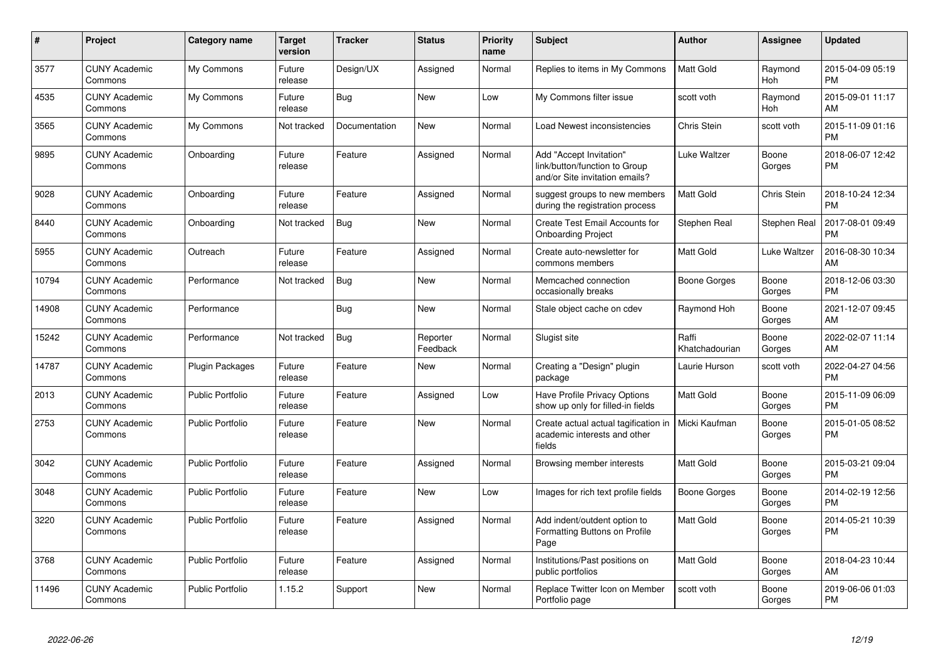| #     | <b>Project</b>                  | <b>Category name</b>    | <b>Target</b><br>version | Tracker       | <b>Status</b>        | <b>Priority</b><br>name | <b>Subject</b>                                                                             | <b>Author</b>           | Assignee              | <b>Updated</b>                |
|-------|---------------------------------|-------------------------|--------------------------|---------------|----------------------|-------------------------|--------------------------------------------------------------------------------------------|-------------------------|-----------------------|-------------------------------|
| 3577  | <b>CUNY Academic</b><br>Commons | My Commons              | Future<br>release        | Design/UX     | Assigned             | Normal                  | Replies to items in My Commons                                                             | <b>Matt Gold</b>        | Raymond<br>Hoh        | 2015-04-09 05:19<br><b>PM</b> |
| 4535  | <b>CUNY Academic</b><br>Commons | My Commons              | Future<br>release        | <b>Bug</b>    | <b>New</b>           | Low                     | My Commons filter issue                                                                    | scott voth              | Raymond<br><b>Hoh</b> | 2015-09-01 11:17<br>AM        |
| 3565  | <b>CUNY Academic</b><br>Commons | My Commons              | Not tracked              | Documentation | <b>New</b>           | Normal                  | Load Newest inconsistencies                                                                | Chris Stein             | scott voth            | 2015-11-09 01:16<br>РM        |
| 9895  | <b>CUNY Academic</b><br>Commons | Onboarding              | Future<br>release        | Feature       | Assigned             | Normal                  | Add "Accept Invitation"<br>link/button/function to Group<br>and/or Site invitation emails? | Luke Waltzer            | Boone<br>Gorges       | 2018-06-07 12:42<br><b>PM</b> |
| 9028  | <b>CUNY Academic</b><br>Commons | Onboarding              | Future<br>release        | Feature       | Assigned             | Normal                  | suggest groups to new members<br>during the registration process                           | Matt Gold               | Chris Stein           | 2018-10-24 12:34<br><b>PM</b> |
| 8440  | <b>CUNY Academic</b><br>Commons | Onboarding              | Not tracked              | Bug           | <b>New</b>           | Normal                  | Create Test Email Accounts for<br><b>Onboarding Project</b>                                | Stephen Real            | Stephen Real          | 2017-08-01 09:49<br><b>PM</b> |
| 5955  | <b>CUNY Academic</b><br>Commons | Outreach                | Future<br>release        | Feature       | Assigned             | Normal                  | Create auto-newsletter for<br>commons members                                              | Matt Gold               | Luke Waltzer          | 2016-08-30 10:34<br>AM        |
| 10794 | <b>CUNY Academic</b><br>Commons | Performance             | Not tracked              | Bug           | <b>New</b>           | Normal                  | Memcached connection<br>occasionally breaks                                                | Boone Gorges            | Boone<br>Gorges       | 2018-12-06 03:30<br><b>PM</b> |
| 14908 | <b>CUNY Academic</b><br>Commons | Performance             |                          | Bug           | <b>New</b>           | Normal                  | Stale object cache on cdev                                                                 | Raymond Hoh             | Boone<br>Gorges       | 2021-12-07 09:45<br>AM        |
| 15242 | <b>CUNY Academic</b><br>Commons | Performance             | Not tracked              | <b>Bug</b>    | Reporter<br>Feedback | Normal                  | Slugist site                                                                               | Raffi<br>Khatchadourian | Boone<br>Gorges       | 2022-02-07 11:14<br>AM        |
| 14787 | <b>CUNY Academic</b><br>Commons | <b>Plugin Packages</b>  | Future<br>release        | Feature       | <b>New</b>           | Normal                  | Creating a "Design" plugin<br>package                                                      | Laurie Hurson           | scott voth            | 2022-04-27 04:56<br>PM        |
| 2013  | <b>CUNY Academic</b><br>Commons | <b>Public Portfolio</b> | Future<br>release        | Feature       | Assigned             | Low                     | Have Profile Privacy Options<br>show up only for filled-in fields                          | Matt Gold               | Boone<br>Gorges       | 2015-11-09 06:09<br><b>PM</b> |
| 2753  | <b>CUNY Academic</b><br>Commons | <b>Public Portfolio</b> | Future<br>release        | Feature       | <b>New</b>           | Normal                  | Create actual actual tagification in<br>academic interests and other<br>fields             | Micki Kaufman           | Boone<br>Gorges       | 2015-01-05 08:52<br><b>PM</b> |
| 3042  | <b>CUNY Academic</b><br>Commons | <b>Public Portfolio</b> | Future<br>release        | Feature       | Assigned             | Normal                  | Browsing member interests                                                                  | Matt Gold               | Boone<br>Gorges       | 2015-03-21 09:04<br><b>PM</b> |
| 3048  | <b>CUNY Academic</b><br>Commons | <b>Public Portfolio</b> | Future<br>release        | Feature       | New                  | Low                     | Images for rich text profile fields                                                        | <b>Boone Gorges</b>     | Boone<br>Gorges       | 2014-02-19 12:56<br><b>PM</b> |
| 3220  | <b>CUNY Academic</b><br>Commons | <b>Public Portfolio</b> | Future<br>release        | Feature       | Assigned             | Normal                  | Add indent/outdent option to<br>Formatting Buttons on Profile<br>Page                      | Matt Gold               | Boone<br>Gorges       | 2014-05-21 10:39<br><b>PM</b> |
| 3768  | <b>CUNY Academic</b><br>Commons | <b>Public Portfolio</b> | Future<br>release        | Feature       | Assigned             | Normal                  | Institutions/Past positions on<br>public portfolios                                        | Matt Gold               | Boone<br>Gorges       | 2018-04-23 10:44<br>AM        |
| 11496 | <b>CUNY Academic</b><br>Commons | <b>Public Portfolio</b> | 1.15.2                   | Support       | New                  | Normal                  | Replace Twitter Icon on Member<br>Portfolio page                                           | scott voth              | Boone<br>Gorges       | 2019-06-06 01:03<br><b>PM</b> |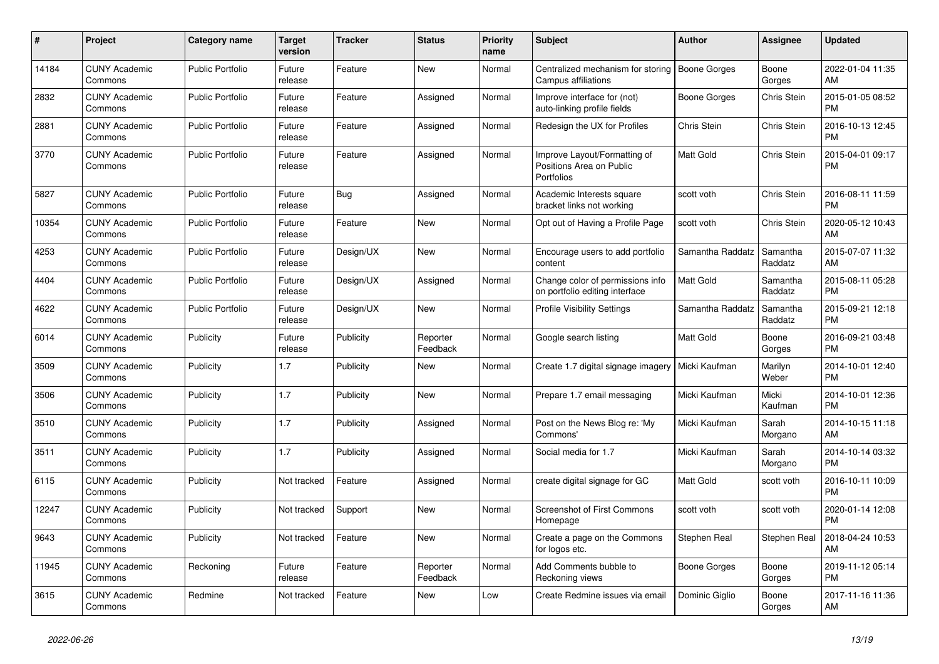| $\#$  | Project                         | <b>Category name</b>    | <b>Target</b><br>version | <b>Tracker</b> | <b>Status</b>        | <b>Priority</b><br>name | <b>Subject</b>                                                         | <b>Author</b>       | <b>Assignee</b>     | <b>Updated</b>                |
|-------|---------------------------------|-------------------------|--------------------------|----------------|----------------------|-------------------------|------------------------------------------------------------------------|---------------------|---------------------|-------------------------------|
| 14184 | <b>CUNY Academic</b><br>Commons | <b>Public Portfolio</b> | Future<br>release        | Feature        | <b>New</b>           | Normal                  | Centralized mechanism for storing<br>Campus affiliations               | <b>Boone Gorges</b> | Boone<br>Gorges     | 2022-01-04 11:35<br>AM        |
| 2832  | <b>CUNY Academic</b><br>Commons | Public Portfolio        | Future<br>release        | Feature        | Assigned             | Normal                  | Improve interface for (not)<br>auto-linking profile fields             | Boone Gorges        | Chris Stein         | 2015-01-05 08:52<br><b>PM</b> |
| 2881  | <b>CUNY Academic</b><br>Commons | <b>Public Portfolio</b> | Future<br>release        | Feature        | Assigned             | Normal                  | Redesign the UX for Profiles                                           | <b>Chris Stein</b>  | Chris Stein         | 2016-10-13 12:45<br><b>PM</b> |
| 3770  | <b>CUNY Academic</b><br>Commons | <b>Public Portfolio</b> | Future<br>release        | Feature        | Assigned             | Normal                  | Improve Layout/Formatting of<br>Positions Area on Public<br>Portfolios | <b>Matt Gold</b>    | Chris Stein         | 2015-04-01 09:17<br><b>PM</b> |
| 5827  | <b>CUNY Academic</b><br>Commons | <b>Public Portfolio</b> | Future<br>release        | Bug            | Assigned             | Normal                  | Academic Interests square<br>bracket links not working                 | scott voth          | Chris Stein         | 2016-08-11 11:59<br><b>PM</b> |
| 10354 | <b>CUNY Academic</b><br>Commons | <b>Public Portfolio</b> | Future<br>release        | Feature        | New                  | Normal                  | Opt out of Having a Profile Page                                       | scott voth          | Chris Stein         | 2020-05-12 10:43<br>AM        |
| 4253  | <b>CUNY Academic</b><br>Commons | <b>Public Portfolio</b> | Future<br>release        | Design/UX      | <b>New</b>           | Normal                  | Encourage users to add portfolio<br>content                            | Samantha Raddatz    | Samantha<br>Raddatz | 2015-07-07 11:32<br>AM        |
| 4404  | <b>CUNY Academic</b><br>Commons | <b>Public Portfolio</b> | Future<br>release        | Design/UX      | Assigned             | Normal                  | Change color of permissions info<br>on portfolio editing interface     | <b>Matt Gold</b>    | Samantha<br>Raddatz | 2015-08-11 05:28<br><b>PM</b> |
| 4622  | <b>CUNY Academic</b><br>Commons | <b>Public Portfolio</b> | Future<br>release        | Design/UX      | <b>New</b>           | Normal                  | <b>Profile Visibility Settings</b>                                     | Samantha Raddatz    | Samantha<br>Raddatz | 2015-09-21 12:18<br><b>PM</b> |
| 6014  | <b>CUNY Academic</b><br>Commons | Publicity               | Future<br>release        | Publicity      | Reporter<br>Feedback | Normal                  | Google search listing                                                  | <b>Matt Gold</b>    | Boone<br>Gorges     | 2016-09-21 03:48<br><b>PM</b> |
| 3509  | <b>CUNY Academic</b><br>Commons | Publicity               | 1.7                      | Publicity      | <b>New</b>           | Normal                  | Create 1.7 digital signage imagery   Micki Kaufman                     |                     | Marilyn<br>Weber    | 2014-10-01 12:40<br><b>PM</b> |
| 3506  | <b>CUNY Academic</b><br>Commons | Publicity               | 1.7                      | Publicity      | <b>New</b>           | Normal                  | Prepare 1.7 email messaging                                            | Micki Kaufman       | Micki<br>Kaufman    | 2014-10-01 12:36<br><b>PM</b> |
| 3510  | <b>CUNY Academic</b><br>Commons | Publicity               | 1.7                      | Publicity      | Assigned             | Normal                  | Post on the News Blog re: 'My<br>Commons'                              | Micki Kaufman       | Sarah<br>Morgano    | 2014-10-15 11:18<br>AM        |
| 3511  | <b>CUNY Academic</b><br>Commons | Publicity               | 1.7                      | Publicity      | Assigned             | Normal                  | Social media for 1.7                                                   | Micki Kaufman       | Sarah<br>Morgano    | 2014-10-14 03:32<br><b>PM</b> |
| 6115  | <b>CUNY Academic</b><br>Commons | Publicity               | Not tracked              | Feature        | Assigned             | Normal                  | create digital signage for GC                                          | <b>Matt Gold</b>    | scott voth          | 2016-10-11 10:09<br><b>PM</b> |
| 12247 | <b>CUNY Academic</b><br>Commons | Publicity               | Not tracked              | Support        | <b>New</b>           | Normal                  | Screenshot of First Commons<br>Homepage                                | scott voth          | scott voth          | 2020-01-14 12:08<br><b>PM</b> |
| 9643  | <b>CUNY Academic</b><br>Commons | Publicity               | Not tracked              | Feature        | <b>New</b>           | Normal                  | Create a page on the Commons<br>for logos etc.                         | Stephen Real        | <b>Stephen Real</b> | 2018-04-24 10:53<br>AM        |
| 11945 | <b>CUNY Academic</b><br>Commons | Reckoning               | Future<br>release        | Feature        | Reporter<br>Feedback | Normal                  | Add Comments bubble to<br>Reckoning views                              | Boone Gorges        | Boone<br>Gorges     | 2019-11-12 05:14<br><b>PM</b> |
| 3615  | <b>CUNY Academic</b><br>Commons | Redmine                 | Not tracked              | Feature        | <b>New</b>           | Low                     | Create Redmine issues via email                                        | Dominic Giglio      | Boone<br>Gorges     | 2017-11-16 11:36<br>AM        |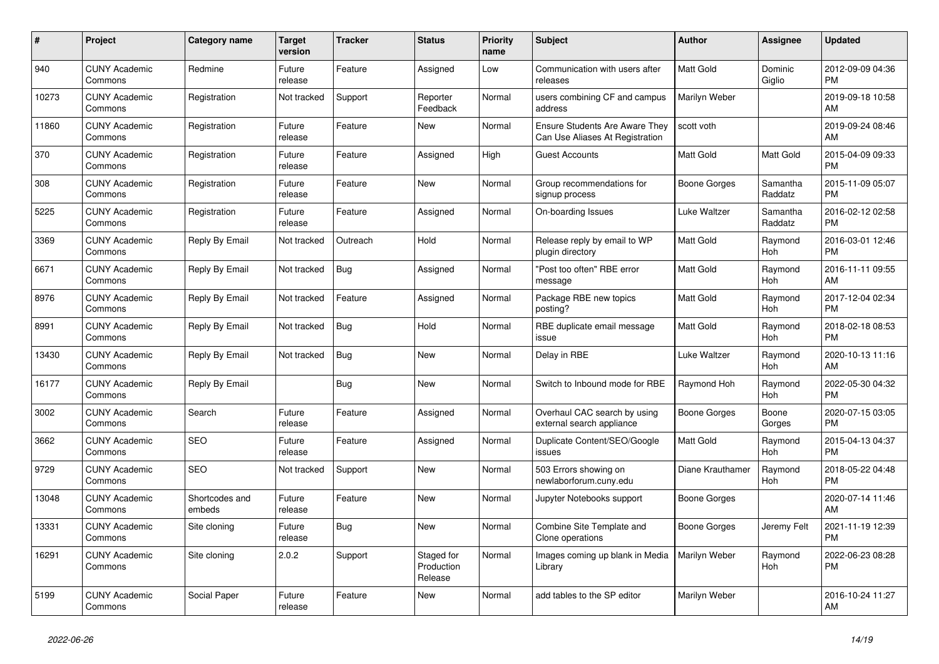| $\pmb{\#}$ | <b>Project</b>                  | Category name            | <b>Target</b><br>version | <b>Tracker</b> | <b>Status</b>                       | <b>Priority</b><br>name | <b>Subject</b>                                                    | <b>Author</b>       | <b>Assignee</b>       | <b>Updated</b>                |
|------------|---------------------------------|--------------------------|--------------------------|----------------|-------------------------------------|-------------------------|-------------------------------------------------------------------|---------------------|-----------------------|-------------------------------|
| 940        | <b>CUNY Academic</b><br>Commons | Redmine                  | Future<br>release        | Feature        | Assigned                            | Low                     | Communication with users after<br>releases                        | <b>Matt Gold</b>    | Dominic<br>Giglio     | 2012-09-09 04:36<br><b>PM</b> |
| 10273      | <b>CUNY Academic</b><br>Commons | Registration             | Not tracked              | Support        | Reporter<br>Feedback                | Normal                  | users combining CF and campus<br>address                          | Marilyn Weber       |                       | 2019-09-18 10:58<br>AM        |
| 11860      | <b>CUNY Academic</b><br>Commons | Registration             | Future<br>release        | Feature        | New                                 | Normal                  | Ensure Students Are Aware They<br>Can Use Aliases At Registration | scott voth          |                       | 2019-09-24 08:46<br>AM        |
| 370        | <b>CUNY Academic</b><br>Commons | Registration             | Future<br>release        | Feature        | Assigned                            | High                    | <b>Guest Accounts</b>                                             | Matt Gold           | <b>Matt Gold</b>      | 2015-04-09 09:33<br><b>PM</b> |
| 308        | <b>CUNY Academic</b><br>Commons | Registration             | Future<br>release        | Feature        | New                                 | Normal                  | Group recommendations for<br>signup process                       | Boone Gorges        | Samantha<br>Raddatz   | 2015-11-09 05:07<br><b>PM</b> |
| 5225       | <b>CUNY Academic</b><br>Commons | Registration             | Future<br>release        | Feature        | Assigned                            | Normal                  | On-boarding Issues                                                | Luke Waltzer        | Samantha<br>Raddatz   | 2016-02-12 02:58<br><b>PM</b> |
| 3369       | <b>CUNY Academic</b><br>Commons | Reply By Email           | Not tracked              | Outreach       | Hold                                | Normal                  | Release reply by email to WP<br>plugin directory                  | <b>Matt Gold</b>    | Raymond<br><b>Hoh</b> | 2016-03-01 12:46<br><b>PM</b> |
| 6671       | <b>CUNY Academic</b><br>Commons | Reply By Email           | Not tracked              | Bug            | Assigned                            | Normal                  | 'Post too often" RBE error<br>message                             | <b>Matt Gold</b>    | Raymond<br>Hoh        | 2016-11-11 09:55<br>AM        |
| 8976       | <b>CUNY Academic</b><br>Commons | Reply By Email           | Not tracked              | Feature        | Assigned                            | Normal                  | Package RBE new topics<br>posting?                                | <b>Matt Gold</b>    | Raymond<br>Hoh        | 2017-12-04 02:34<br><b>PM</b> |
| 8991       | <b>CUNY Academic</b><br>Commons | Reply By Email           | Not tracked              | Bug            | Hold                                | Normal                  | RBE duplicate email message<br>issue                              | <b>Matt Gold</b>    | Raymond<br><b>Hoh</b> | 2018-02-18 08:53<br><b>PM</b> |
| 13430      | <b>CUNY Academic</b><br>Commons | Reply By Email           | Not tracked              | Bug            | <b>New</b>                          | Normal                  | Delay in RBE                                                      | Luke Waltzer        | Raymond<br>Hoh        | 2020-10-13 11:16<br>AM        |
| 16177      | <b>CUNY Academic</b><br>Commons | Reply By Email           |                          | <b>Bug</b>     | New                                 | Normal                  | Switch to Inbound mode for RBE                                    | Raymond Hoh         | Raymond<br>Hoh        | 2022-05-30 04:32<br><b>PM</b> |
| 3002       | <b>CUNY Academic</b><br>Commons | Search                   | Future<br>release        | Feature        | Assigned                            | Normal                  | Overhaul CAC search by using<br>external search appliance         | <b>Boone Gorges</b> | Boone<br>Gorges       | 2020-07-15 03:05<br><b>PM</b> |
| 3662       | <b>CUNY Academic</b><br>Commons | <b>SEO</b>               | Future<br>release        | Feature        | Assigned                            | Normal                  | Duplicate Content/SEO/Google<br>issues                            | <b>Matt Gold</b>    | Raymond<br>Hoh        | 2015-04-13 04:37<br><b>PM</b> |
| 9729       | <b>CUNY Academic</b><br>Commons | <b>SEO</b>               | Not tracked              | Support        | <b>New</b>                          | Normal                  | 503 Errors showing on<br>newlaborforum.cuny.edu                   | Diane Krauthamer    | Raymond<br>Hoh        | 2018-05-22 04:48<br><b>PM</b> |
| 13048      | <b>CUNY Academic</b><br>Commons | Shortcodes and<br>embeds | Future<br>release        | Feature        | <b>New</b>                          | Normal                  | Jupyter Notebooks support                                         | Boone Gorges        |                       | 2020-07-14 11:46<br>AM        |
| 13331      | <b>CUNY Academic</b><br>Commons | Site cloning             | Future<br>release        | Bug            | <b>New</b>                          | Normal                  | Combine Site Template and<br>Clone operations                     | Boone Gorges        | Jeremy Felt           | 2021-11-19 12:39<br><b>PM</b> |
| 16291      | <b>CUNY Academic</b><br>Commons | Site cloning             | 2.0.2                    | Support        | Staged for<br>Production<br>Release | Normal                  | Images coming up blank in Media<br>Library                        | Marilyn Weber       | Raymond<br>Hoh        | 2022-06-23 08:28<br><b>PM</b> |
| 5199       | <b>CUNY Academic</b><br>Commons | Social Paper             | Future<br>release        | Feature        | <b>New</b>                          | Normal                  | add tables to the SP editor                                       | Marilyn Weber       |                       | 2016-10-24 11:27<br>AM        |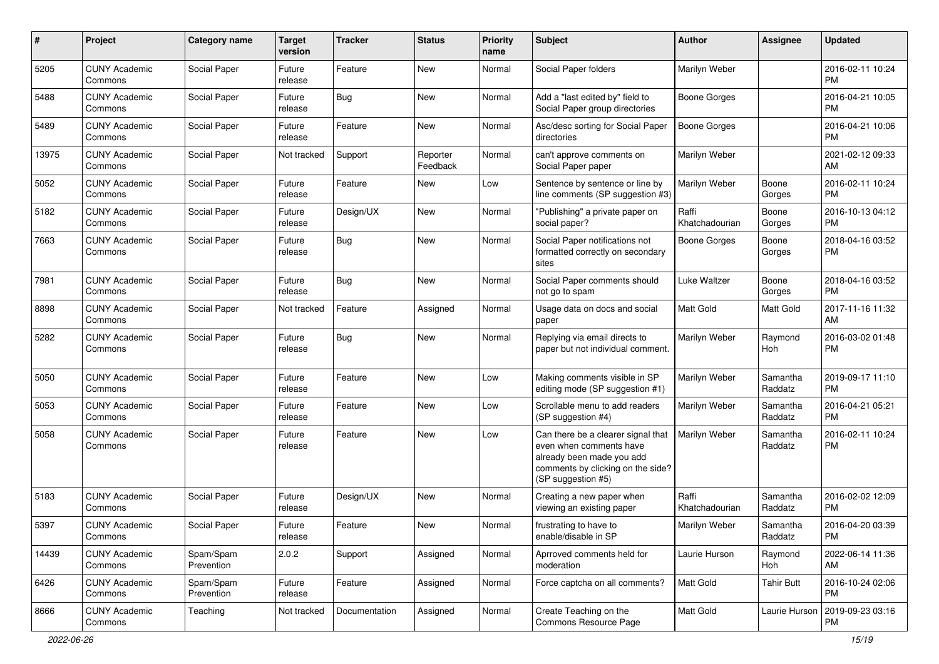| #     | Project                         | <b>Category name</b>    | <b>Target</b><br>version | <b>Tracker</b> | <b>Status</b>        | <b>Priority</b><br>name | <b>Subject</b>                                                                                                                                        | <b>Author</b>           | <b>Assignee</b>     | <b>Updated</b>                |
|-------|---------------------------------|-------------------------|--------------------------|----------------|----------------------|-------------------------|-------------------------------------------------------------------------------------------------------------------------------------------------------|-------------------------|---------------------|-------------------------------|
| 5205  | <b>CUNY Academic</b><br>Commons | Social Paper            | Future<br>release        | Feature        | <b>New</b>           | Normal                  | Social Paper folders                                                                                                                                  | Marilyn Weber           |                     | 2016-02-11 10:24<br><b>PM</b> |
| 5488  | <b>CUNY Academic</b><br>Commons | Social Paper            | Future<br>release        | Bug            | <b>New</b>           | Normal                  | Add a "last edited by" field to<br>Social Paper group directories                                                                                     | <b>Boone Gorges</b>     |                     | 2016-04-21 10:05<br><b>PM</b> |
| 5489  | <b>CUNY Academic</b><br>Commons | Social Paper            | Future<br>release        | Feature        | New                  | Normal                  | Asc/desc sorting for Social Paper<br>directories                                                                                                      | <b>Boone Gorges</b>     |                     | 2016-04-21 10:06<br><b>PM</b> |
| 13975 | <b>CUNY Academic</b><br>Commons | Social Paper            | Not tracked              | Support        | Reporter<br>Feedback | Normal                  | can't approve comments on<br>Social Paper paper                                                                                                       | Marilyn Weber           |                     | 2021-02-12 09:33<br>AM        |
| 5052  | <b>CUNY Academic</b><br>Commons | Social Paper            | Future<br>release        | Feature        | <b>New</b>           | Low                     | Sentence by sentence or line by<br>line comments (SP suggestion #3)                                                                                   | Marilyn Weber           | Boone<br>Gorges     | 2016-02-11 10:24<br><b>PM</b> |
| 5182  | <b>CUNY Academic</b><br>Commons | Social Paper            | Future<br>release        | Design/UX      | <b>New</b>           | Normal                  | "Publishing" a private paper on<br>social paper?                                                                                                      | Raffi<br>Khatchadourian | Boone<br>Gorges     | 2016-10-13 04:12<br><b>PM</b> |
| 7663  | <b>CUNY Academic</b><br>Commons | Social Paper            | Future<br>release        | Bug            | <b>New</b>           | Normal                  | Social Paper notifications not<br>formatted correctly on secondary<br>sites                                                                           | <b>Boone Gorges</b>     | Boone<br>Gorges     | 2018-04-16 03:52<br><b>PM</b> |
| 7981  | <b>CUNY Academic</b><br>Commons | Social Paper            | Future<br>release        | <b>Bug</b>     | New                  | Normal                  | Social Paper comments should<br>not go to spam                                                                                                        | Luke Waltzer            | Boone<br>Gorges     | 2018-04-16 03:52<br><b>PM</b> |
| 8898  | <b>CUNY Academic</b><br>Commons | Social Paper            | Not tracked              | Feature        | Assigned             | Normal                  | Usage data on docs and social<br>paper                                                                                                                | Matt Gold               | <b>Matt Gold</b>    | 2017-11-16 11:32<br>AM        |
| 5282  | <b>CUNY Academic</b><br>Commons | Social Paper            | Future<br>release        | <b>Bug</b>     | New                  | Normal                  | Replying via email directs to<br>paper but not individual comment.                                                                                    | Marilyn Weber           | Raymond<br>Hoh      | 2016-03-02 01:48<br><b>PM</b> |
| 5050  | <b>CUNY Academic</b><br>Commons | Social Paper            | Future<br>release        | Feature        | New                  | Low                     | Making comments visible in SP<br>editing mode (SP suggestion #1)                                                                                      | Marilyn Weber           | Samantha<br>Raddatz | 2019-09-17 11:10<br><b>PM</b> |
| 5053  | <b>CUNY Academic</b><br>Commons | Social Paper            | Future<br>release        | Feature        | New                  | Low                     | Scrollable menu to add readers<br>(SP suggestion #4)                                                                                                  | Marilyn Weber           | Samantha<br>Raddatz | 2016-04-21 05:21<br><b>PM</b> |
| 5058  | <b>CUNY Academic</b><br>Commons | Social Paper            | Future<br>release        | Feature        | <b>New</b>           | Low                     | Can there be a clearer signal that<br>even when comments have<br>already been made you add<br>comments by clicking on the side?<br>(SP suggestion #5) | Marilyn Weber           | Samantha<br>Raddatz | 2016-02-11 10:24<br><b>PM</b> |
| 5183  | <b>CUNY Academic</b><br>Commons | Social Paper            | Future<br>release        | Design/UX      | <b>New</b>           | Normal                  | Creating a new paper when<br>viewing an existing paper                                                                                                | Raffi<br>Khatchadourian | Samantha<br>Raddatz | 2016-02-02 12:09<br>PM        |
| 5397  | <b>CUNY Academic</b><br>Commons | Social Paper            | Future<br>release        | Feature        | New                  | Normal                  | frustrating to have to<br>enable/disable in SP                                                                                                        | Marilyn Weber           | Samantha<br>Raddatz | 2016-04-20 03:39<br>PM        |
| 14439 | <b>CUNY Academic</b><br>Commons | Spam/Spam<br>Prevention | 2.0.2                    | Support        | Assigned             | Normal                  | Aprroved comments held for<br>moderation                                                                                                              | Laurie Hurson           | Raymond<br>Hoh      | 2022-06-14 11:36<br>AM        |
| 6426  | <b>CUNY Academic</b><br>Commons | Spam/Spam<br>Prevention | Future<br>release        | Feature        | Assigned             | Normal                  | Force captcha on all comments?                                                                                                                        | Matt Gold               | <b>Tahir Butt</b>   | 2016-10-24 02:06<br><b>PM</b> |
| 8666  | <b>CUNY Academic</b><br>Commons | Teaching                | Not tracked              | Documentation  | Assigned             | Normal                  | Create Teaching on the<br>Commons Resource Page                                                                                                       | Matt Gold               | Laurie Hurson       | 2019-09-23 03:16<br>PM        |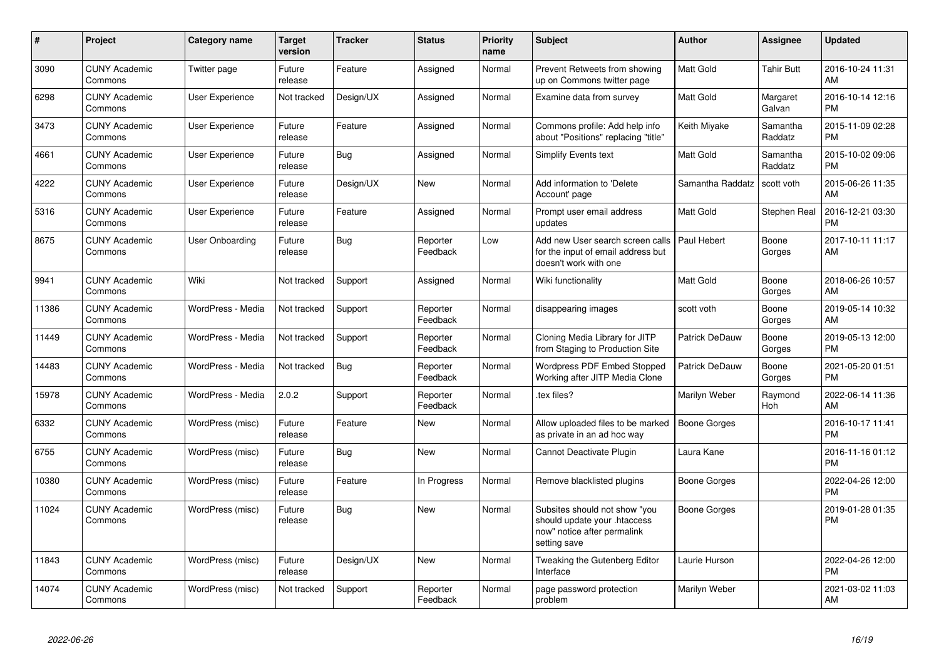| $\pmb{\#}$ | <b>Project</b>                  | Category name          | <b>Target</b><br>version | <b>Tracker</b> | <b>Status</b>        | <b>Priority</b><br>name | <b>Subject</b>                                                                                               | Author              | <b>Assignee</b>     | <b>Updated</b>                |
|------------|---------------------------------|------------------------|--------------------------|----------------|----------------------|-------------------------|--------------------------------------------------------------------------------------------------------------|---------------------|---------------------|-------------------------------|
| 3090       | <b>CUNY Academic</b><br>Commons | Twitter page           | Future<br>release        | Feature        | Assigned             | Normal                  | Prevent Retweets from showing<br>up on Commons twitter page                                                  | <b>Matt Gold</b>    | <b>Tahir Butt</b>   | 2016-10-24 11:31<br>AM        |
| 6298       | <b>CUNY Academic</b><br>Commons | <b>User Experience</b> | Not tracked              | Design/UX      | Assigned             | Normal                  | Examine data from survey                                                                                     | <b>Matt Gold</b>    | Margaret<br>Galvan  | 2016-10-14 12:16<br><b>PM</b> |
| 3473       | <b>CUNY Academic</b><br>Commons | <b>User Experience</b> | Future<br>release        | Feature        | Assigned             | Normal                  | Commons profile: Add help info<br>about "Positions" replacing "title"                                        | Keith Miyake        | Samantha<br>Raddatz | 2015-11-09 02:28<br><b>PM</b> |
| 4661       | <b>CUNY Academic</b><br>Commons | <b>User Experience</b> | Future<br>release        | <b>Bug</b>     | Assigned             | Normal                  | Simplify Events text                                                                                         | <b>Matt Gold</b>    | Samantha<br>Raddatz | 2015-10-02 09:06<br><b>PM</b> |
| 4222       | <b>CUNY Academic</b><br>Commons | <b>User Experience</b> | Future<br>release        | Design/UX      | <b>New</b>           | Normal                  | Add information to 'Delete<br>Account' page                                                                  | Samantha Raddatz    | scott voth          | 2015-06-26 11:35<br>AM        |
| 5316       | <b>CUNY Academic</b><br>Commons | <b>User Experience</b> | Future<br>release        | Feature        | Assigned             | Normal                  | Prompt user email address<br>updates                                                                         | Matt Gold           | Stephen Real        | 2016-12-21 03:30<br><b>PM</b> |
| 8675       | <b>CUNY Academic</b><br>Commons | <b>User Onboarding</b> | Future<br>release        | Bug            | Reporter<br>Feedback | Low                     | Add new User search screen calls<br>for the input of email address but<br>doesn't work with one              | Paul Hebert         | Boone<br>Gorges     | 2017-10-11 11:17<br>AM        |
| 9941       | <b>CUNY Academic</b><br>Commons | Wiki                   | Not tracked              | Support        | Assigned             | Normal                  | Wiki functionality                                                                                           | <b>Matt Gold</b>    | Boone<br>Gorges     | 2018-06-26 10:57<br>AM        |
| 11386      | <b>CUNY Academic</b><br>Commons | WordPress - Media      | Not tracked              | Support        | Reporter<br>Feedback | Normal                  | disappearing images                                                                                          | scott voth          | Boone<br>Gorges     | 2019-05-14 10:32<br>AM        |
| 11449      | <b>CUNY Academic</b><br>Commons | WordPress - Media      | Not tracked              | Support        | Reporter<br>Feedback | Normal                  | Cloning Media Library for JITP<br>from Staging to Production Site                                            | Patrick DeDauw      | Boone<br>Gorges     | 2019-05-13 12:00<br><b>PM</b> |
| 14483      | <b>CUNY Academic</b><br>Commons | WordPress - Media      | Not tracked              | Bug            | Reporter<br>Feedback | Normal                  | <b>Wordpress PDF Embed Stopped</b><br>Working after JITP Media Clone                                         | Patrick DeDauw      | Boone<br>Gorges     | 2021-05-20 01:51<br><b>PM</b> |
| 15978      | <b>CUNY Academic</b><br>Commons | WordPress - Media      | 2.0.2                    | Support        | Reporter<br>Feedback | Normal                  | tex files?                                                                                                   | Marilyn Weber       | Raymond<br>Hoh      | 2022-06-14 11:36<br>AM        |
| 6332       | <b>CUNY Academic</b><br>Commons | WordPress (misc)       | Future<br>release        | Feature        | <b>New</b>           | Normal                  | Allow uploaded files to be marked<br>as private in an ad hoc way                                             | <b>Boone Gorges</b> |                     | 2016-10-17 11:41<br><b>PM</b> |
| 6755       | <b>CUNY Academic</b><br>Commons | WordPress (misc)       | Future<br>release        | Bug            | <b>New</b>           | Normal                  | Cannot Deactivate Plugin                                                                                     | Laura Kane          |                     | 2016-11-16 01:12<br><b>PM</b> |
| 10380      | <b>CUNY Academic</b><br>Commons | WordPress (misc)       | Future<br>release        | Feature        | In Progress          | Normal                  | Remove blacklisted plugins                                                                                   | Boone Gorges        |                     | 2022-04-26 12:00<br><b>PM</b> |
| 11024      | <b>CUNY Academic</b><br>Commons | WordPress (misc)       | Future<br>release        | <b>Bug</b>     | <b>New</b>           | Normal                  | Subsites should not show "you<br>should update your .htaccess<br>now" notice after permalink<br>setting save | <b>Boone Gorges</b> |                     | 2019-01-28 01:35<br><b>PM</b> |
| 11843      | <b>CUNY Academic</b><br>Commons | WordPress (misc)       | Future<br>release        | Design/UX      | New                  | Normal                  | Tweaking the Gutenberg Editor<br>Interface                                                                   | Laurie Hurson       |                     | 2022-04-26 12:00<br><b>PM</b> |
| 14074      | <b>CUNY Academic</b><br>Commons | WordPress (misc)       | Not tracked              | Support        | Reporter<br>Feedback | Normal                  | page password protection<br>problem                                                                          | Marilyn Weber       |                     | 2021-03-02 11:03<br>AM        |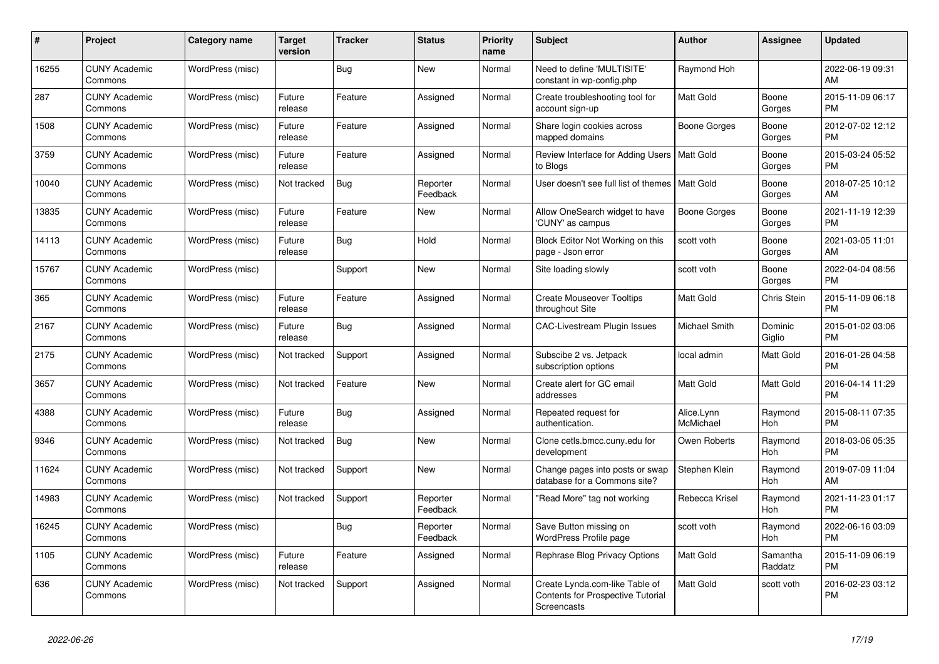| #     | Project                         | Category name    | Target<br>version | <b>Tracker</b> | <b>Status</b>        | <b>Priority</b><br>name | <b>Subject</b>                                                                            | <b>Author</b>           | Assignee            | <b>Updated</b>                |
|-------|---------------------------------|------------------|-------------------|----------------|----------------------|-------------------------|-------------------------------------------------------------------------------------------|-------------------------|---------------------|-------------------------------|
| 16255 | <b>CUNY Academic</b><br>Commons | WordPress (misc) |                   | <b>Bug</b>     | <b>New</b>           | Normal                  | Need to define 'MULTISITE'<br>constant in wp-config.php                                   | Raymond Hoh             |                     | 2022-06-19 09:31<br>AM        |
| 287   | <b>CUNY Academic</b><br>Commons | WordPress (misc) | Future<br>release | Feature        | Assigned             | Normal                  | Create troubleshooting tool for<br>account sign-up                                        | <b>Matt Gold</b>        | Boone<br>Gorges     | 2015-11-09 06:17<br><b>PM</b> |
| 1508  | <b>CUNY Academic</b><br>Commons | WordPress (misc) | Future<br>release | Feature        | Assigned             | Normal                  | Share login cookies across<br>mapped domains                                              | Boone Gorges            | Boone<br>Gorges     | 2012-07-02 12:12<br><b>PM</b> |
| 3759  | <b>CUNY Academic</b><br>Commons | WordPress (misc) | Future<br>release | Feature        | Assigned             | Normal                  | Review Interface for Adding Users<br>to Blogs                                             | Matt Gold               | Boone<br>Gorges     | 2015-03-24 05:52<br><b>PM</b> |
| 10040 | <b>CUNY Academic</b><br>Commons | WordPress (misc) | Not tracked       | Bug            | Reporter<br>Feedback | Normal                  | User doesn't see full list of themes   Matt Gold                                          |                         | Boone<br>Gorges     | 2018-07-25 10:12<br>AM        |
| 13835 | <b>CUNY Academic</b><br>Commons | WordPress (misc) | Future<br>release | Feature        | <b>New</b>           | Normal                  | Allow OneSearch widget to have<br>'CUNY' as campus                                        | Boone Gorges            | Boone<br>Gorges     | 2021-11-19 12:39<br><b>PM</b> |
| 14113 | <b>CUNY Academic</b><br>Commons | WordPress (misc) | Future<br>release | Bug            | Hold                 | Normal                  | Block Editor Not Working on this<br>page - Json error                                     | scott voth              | Boone<br>Gorges     | 2021-03-05 11:01<br>AM        |
| 15767 | <b>CUNY Academic</b><br>Commons | WordPress (misc) |                   | Support        | <b>New</b>           | Normal                  | Site loading slowly                                                                       | scott voth              | Boone<br>Gorges     | 2022-04-04 08:56<br>PM        |
| 365   | <b>CUNY Academic</b><br>Commons | WordPress (misc) | Future<br>release | Feature        | Assigned             | Normal                  | <b>Create Mouseover Tooltips</b><br>throughout Site                                       | Matt Gold               | Chris Stein         | 2015-11-09 06:18<br><b>PM</b> |
| 2167  | <b>CUNY Academic</b><br>Commons | WordPress (misc) | Future<br>release | <b>Bug</b>     | Assigned             | Normal                  | <b>CAC-Livestream Plugin Issues</b>                                                       | Michael Smith           | Dominic<br>Giglio   | 2015-01-02 03:06<br><b>PM</b> |
| 2175  | <b>CUNY Academic</b><br>Commons | WordPress (misc) | Not tracked       | Support        | Assigned             | Normal                  | Subscibe 2 vs. Jetpack<br>subscription options                                            | local admin             | Matt Gold           | 2016-01-26 04:58<br><b>PM</b> |
| 3657  | <b>CUNY Academic</b><br>Commons | WordPress (misc) | Not tracked       | Feature        | <b>New</b>           | Normal                  | Create alert for GC email<br>addresses                                                    | Matt Gold               | Matt Gold           | 2016-04-14 11:29<br><b>PM</b> |
| 4388  | <b>CUNY Academic</b><br>Commons | WordPress (misc) | Future<br>release | Bug            | Assigned             | Normal                  | Repeated request for<br>authentication.                                                   | Alice.Lynn<br>McMichael | Raymond<br>Hoh      | 2015-08-11 07:35<br><b>PM</b> |
| 9346  | <b>CUNY Academic</b><br>Commons | WordPress (misc) | Not tracked       | Bug            | <b>New</b>           | Normal                  | Clone cetls.bmcc.cuny.edu for<br>development                                              | Owen Roberts            | Raymond<br>Hoh      | 2018-03-06 05:35<br><b>PM</b> |
| 11624 | <b>CUNY Academic</b><br>Commons | WordPress (misc) | Not tracked       | Support        | <b>New</b>           | Normal                  | Change pages into posts or swap<br>database for a Commons site?                           | Stephen Klein           | Raymond<br>Hoh      | 2019-07-09 11:04<br>AM        |
| 14983 | <b>CUNY Academic</b><br>Commons | WordPress (misc) | Not tracked       | Support        | Reporter<br>Feedback | Normal                  | "Read More" tag not working                                                               | Rebecca Krisel          | Raymond<br>Hoh      | 2021-11-23 01:17<br><b>PM</b> |
| 16245 | <b>CUNY Academic</b><br>Commons | WordPress (misc) |                   | <b>Bug</b>     | Reporter<br>Feedback | Normal                  | Save Button missing on<br>WordPress Profile page                                          | scott voth              | Raymond<br>Hoh      | 2022-06-16 03:09<br><b>PM</b> |
| 1105  | <b>CUNY Academic</b><br>Commons | WordPress (misc) | Future<br>release | Feature        | Assigned             | Normal                  | Rephrase Blog Privacy Options                                                             | <b>Matt Gold</b>        | Samantha<br>Raddatz | 2015-11-09 06:19<br><b>PM</b> |
| 636   | <b>CUNY Academic</b><br>Commons | WordPress (misc) | Not tracked       | Support        | Assigned             | Normal                  | Create Lynda.com-like Table of<br><b>Contents for Prospective Tutorial</b><br>Screencasts | Matt Gold               | scott voth          | 2016-02-23 03:12<br><b>PM</b> |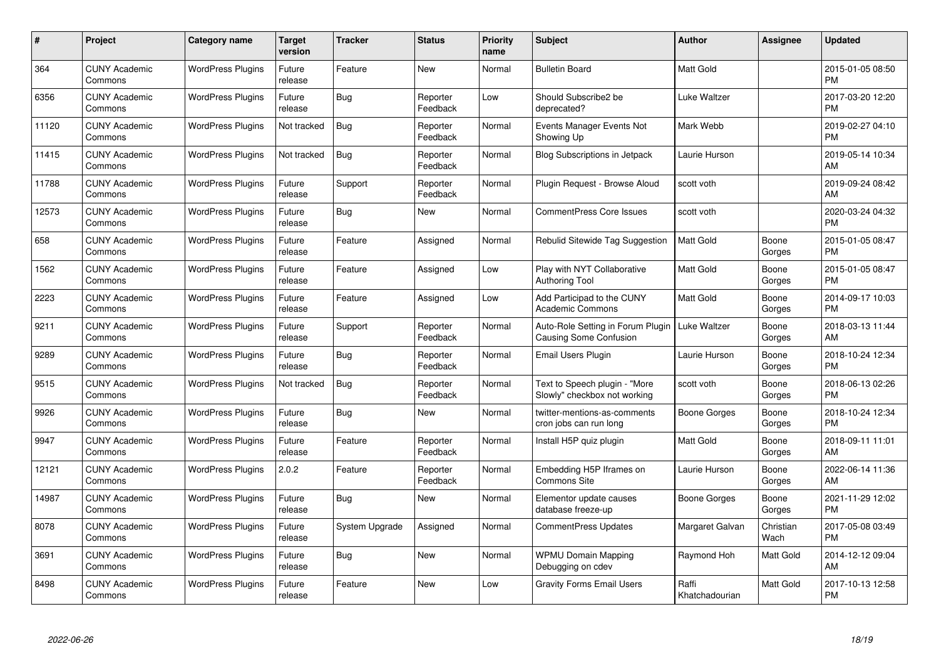| #     | Project                         | <b>Category name</b>     | Target<br>version | <b>Tracker</b> | <b>Status</b>        | <b>Priority</b><br>name | <b>Subject</b>                                                     | <b>Author</b>           | <b>Assignee</b>   | <b>Updated</b>                |
|-------|---------------------------------|--------------------------|-------------------|----------------|----------------------|-------------------------|--------------------------------------------------------------------|-------------------------|-------------------|-------------------------------|
| 364   | <b>CUNY Academic</b><br>Commons | <b>WordPress Plugins</b> | Future<br>release | Feature        | <b>New</b>           | Normal                  | <b>Bulletin Board</b>                                              | Matt Gold               |                   | 2015-01-05 08:50<br><b>PM</b> |
| 6356  | <b>CUNY Academic</b><br>Commons | <b>WordPress Plugins</b> | Future<br>release | Bug            | Reporter<br>Feedback | Low                     | Should Subscribe2 be<br>deprecated?                                | Luke Waltzer            |                   | 2017-03-20 12:20<br><b>PM</b> |
| 11120 | <b>CUNY Academic</b><br>Commons | <b>WordPress Plugins</b> | Not tracked       | Bug            | Reporter<br>Feedback | Normal                  | Events Manager Events Not<br>Showing Up                            | Mark Webb               |                   | 2019-02-27 04:10<br><b>PM</b> |
| 11415 | <b>CUNY Academic</b><br>Commons | <b>WordPress Plugins</b> | Not tracked       | Bug            | Reporter<br>Feedback | Normal                  | <b>Blog Subscriptions in Jetpack</b>                               | Laurie Hurson           |                   | 2019-05-14 10:34<br>AM        |
| 11788 | <b>CUNY Academic</b><br>Commons | <b>WordPress Plugins</b> | Future<br>release | Support        | Reporter<br>Feedback | Normal                  | Plugin Request - Browse Aloud                                      | scott voth              |                   | 2019-09-24 08:42<br>AM        |
| 12573 | <b>CUNY Academic</b><br>Commons | <b>WordPress Plugins</b> | Future<br>release | Bug            | <b>New</b>           | Normal                  | <b>CommentPress Core Issues</b>                                    | scott voth              |                   | 2020-03-24 04:32<br><b>PM</b> |
| 658   | <b>CUNY Academic</b><br>Commons | <b>WordPress Plugins</b> | Future<br>release | Feature        | Assigned             | Normal                  | Rebulid Sitewide Tag Suggestion                                    | Matt Gold               | Boone<br>Gorges   | 2015-01-05 08:47<br><b>PM</b> |
| 1562  | <b>CUNY Academic</b><br>Commons | <b>WordPress Plugins</b> | Future<br>release | Feature        | Assigned             | Low                     | Play with NYT Collaborative<br><b>Authoring Tool</b>               | <b>Matt Gold</b>        | Boone<br>Gorges   | 2015-01-05 08:47<br><b>PM</b> |
| 2223  | <b>CUNY Academic</b><br>Commons | <b>WordPress Plugins</b> | Future<br>release | Feature        | Assigned             | Low                     | Add Participad to the CUNY<br><b>Academic Commons</b>              | Matt Gold               | Boone<br>Gorges   | 2014-09-17 10:03<br><b>PM</b> |
| 9211  | <b>CUNY Academic</b><br>Commons | <b>WordPress Plugins</b> | Future<br>release | Support        | Reporter<br>Feedback | Normal                  | Auto-Role Setting in Forum Plugin<br><b>Causing Some Confusion</b> | Luke Waltzer            | Boone<br>Gorges   | 2018-03-13 11:44<br>AM        |
| 9289  | <b>CUNY Academic</b><br>Commons | <b>WordPress Plugins</b> | Future<br>release | Bug            | Reporter<br>Feedback | Normal                  | Email Users Plugin                                                 | Laurie Hurson           | Boone<br>Gorges   | 2018-10-24 12:34<br><b>PM</b> |
| 9515  | <b>CUNY Academic</b><br>Commons | <b>WordPress Plugins</b> | Not tracked       | Bug            | Reporter<br>Feedback | Normal                  | Text to Speech plugin - "More<br>Slowly" checkbox not working      | scott voth              | Boone<br>Gorges   | 2018-06-13 02:26<br><b>PM</b> |
| 9926  | <b>CUNY Academic</b><br>Commons | <b>WordPress Plugins</b> | Future<br>release | Bug            | <b>New</b>           | Normal                  | twitter-mentions-as-comments<br>cron jobs can run long             | Boone Gorges            | Boone<br>Gorges   | 2018-10-24 12:34<br><b>PM</b> |
| 9947  | <b>CUNY Academic</b><br>Commons | <b>WordPress Plugins</b> | Future<br>release | Feature        | Reporter<br>Feedback | Normal                  | Install H5P quiz plugin                                            | Matt Gold               | Boone<br>Gorges   | 2018-09-11 11:01<br>AM        |
| 12121 | <b>CUNY Academic</b><br>Commons | <b>WordPress Plugins</b> | 2.0.2             | Feature        | Reporter<br>Feedback | Normal                  | Embedding H5P Iframes on<br><b>Commons Site</b>                    | Laurie Hurson           | Boone<br>Gorges   | 2022-06-14 11:36<br>AM        |
| 14987 | <b>CUNY Academic</b><br>Commons | <b>WordPress Plugins</b> | Future<br>release | Bug            | New                  | Normal                  | Elementor update causes<br>database freeze-up                      | Boone Gorges            | Boone<br>Gorges   | 2021-11-29 12:02<br><b>PM</b> |
| 8078  | <b>CUNY Academic</b><br>Commons | <b>WordPress Plugins</b> | Future<br>release | System Upgrade | Assigned             | Normal                  | CommentPress Updates                                               | Margaret Galvan         | Christian<br>Wach | 2017-05-08 03:49<br><b>PM</b> |
| 3691  | <b>CUNY Academic</b><br>Commons | <b>WordPress Plugins</b> | Future<br>release | <b>Bug</b>     | <b>New</b>           | Normal                  | <b>WPMU Domain Mapping</b><br>Debugging on cdev                    | Raymond Hoh             | Matt Gold         | 2014-12-12 09:04<br>AM        |
| 8498  | CUNY Academic<br>Commons        | <b>WordPress Plugins</b> | Future<br>release | Feature        | <b>New</b>           | Low                     | <b>Gravity Forms Email Users</b>                                   | Raffi<br>Khatchadourian | Matt Gold         | 2017-10-13 12:58<br><b>PM</b> |